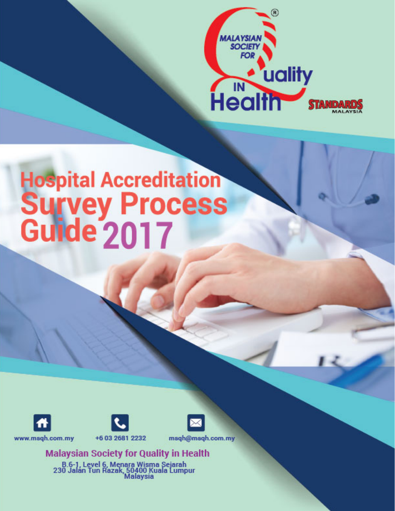

# Hospital Accreditation<br>Survey Process<br>Guide 2017





www.msqh.com.my

+6 03 2681 2232



**Malaysian Society for Quality in Health** 

B.6-1, Level 6, Menara Wisma Sejarah<br>230 Jalán Tun Razak, 50400 Kuala Lumpur<br>Malaysia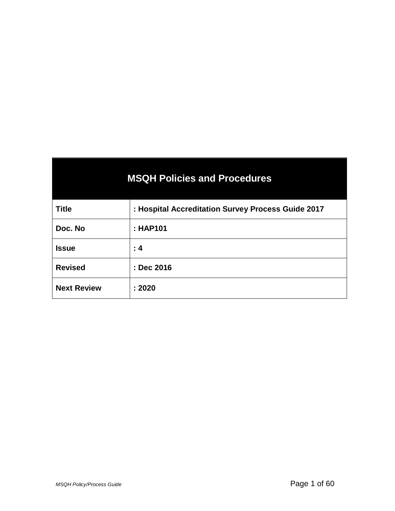| <b>MSQH Policies and Procedures</b> |                                                    |  |
|-------------------------------------|----------------------------------------------------|--|
| <b>Title</b>                        | : Hospital Accreditation Survey Process Guide 2017 |  |
| Doc. No                             | : HAP101                                           |  |
| <b>Issue</b>                        | : 4                                                |  |
| <b>Revised</b>                      | : Dec 2016                                         |  |
| <b>Next Review</b>                  | : 2020                                             |  |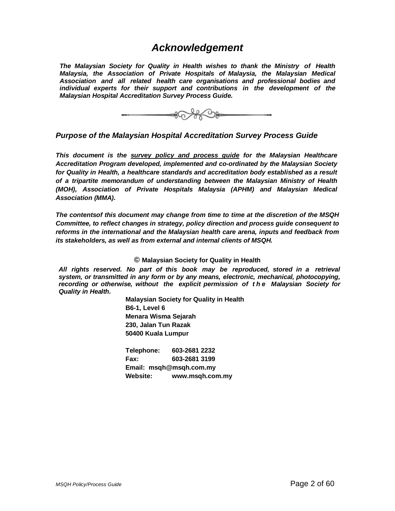### *Acknowledgement*

*The Malaysian Society for Quality in Health wishes to thank the Ministry of Health Malaysia, the Association of Private Hospitals of Malaysia, the Malaysian Medical Association and all related health care organisations and professional bodies and individual experts for their support and contributions in the development of the Malaysian Hospital Accreditation Survey Process Guide.* 



*Purpose of the Malaysian Hospital Accreditation Survey Process Guide*

*This document is the survey policy and process guide for the Malaysian Healthcare Accreditation Program developed, implemented and co-ordinated by the Malaysian Society for Quality in Health, a healthcare standards and accreditation body established as a result of a tripartite memorandum of understanding between the Malaysian Ministry of Health (MOH), Association of Private Hospitals Malaysia (APHM) and Malaysian Medical Association (MMA).*

*The contentsof this document may change from time to time at the discretion of the MSQH Committee, to reflect changes in strategy, policy direction and process guide consequent to reforms in the international and the Malaysian health care arena, inputs and feedback from its stakeholders, as well as from external and internal clients of MSQH.*

#### **© Malaysian Society for Quality in Health**

*All rights reserved. No part of this book may be reproduced, stored in a retrieval system, or transmitted in any form or by any means, electronic, mechanical, photocopying, recording or otherwise, without the explicit permission of the Malaysian Society for Quality in Health.* 

> **Malaysian Society for Quality in Health B6-1, Level 6 Menara Wisma Sejarah 230, Jalan Tun Razak 50400 Kuala Lumpur**

**Telephone: 603-2681 2232 Fax: 603-2681 3199 Email: msqh@msqh.com.my Website: [www.msqh.com.my](http://www.msqh.com.my/)**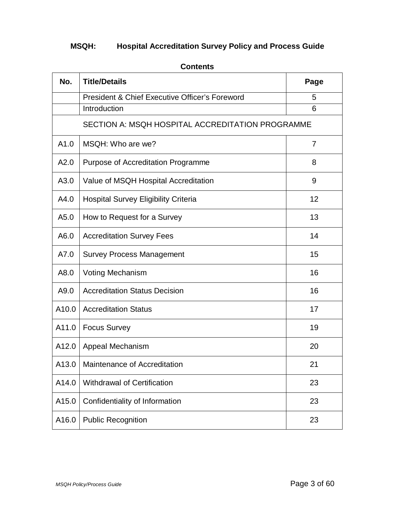## **MSQH: Hospital Accreditation Survey Policy and Process Guide**

| No.   | <b>Title/Details</b>                                      | Page           |
|-------|-----------------------------------------------------------|----------------|
|       | <b>President &amp; Chief Executive Officer's Foreword</b> | 5              |
|       | Introduction                                              | 6              |
|       | SECTION A: MSQH HOSPITAL ACCREDITATION PROGRAMME          |                |
| A1.0  | MSQH: Who are we?                                         | $\overline{7}$ |
| A2.0  | Purpose of Accreditation Programme                        | 8              |
| A3.0  | Value of MSQH Hospital Accreditation                      | 9              |
| A4.0  | <b>Hospital Survey Eligibility Criteria</b>               | 12             |
| A5.0  | How to Request for a Survey                               | 13             |
| A6.0  | <b>Accreditation Survey Fees</b>                          | 14             |
| A7.0  | <b>Survey Process Management</b>                          | 15             |
| A8.0  | <b>Voting Mechanism</b>                                   | 16             |
| A9.0  | <b>Accreditation Status Decision</b>                      | 16             |
| A10.0 | <b>Accreditation Status</b>                               | 17             |
| A11.0 | <b>Focus Survey</b>                                       | 19             |
| A12.0 | Appeal Mechanism                                          | 20             |
| A13.0 | Maintenance of Accreditation                              | 21             |
| A14.0 | <b>Withdrawal of Certification</b>                        | 23             |
| A15.0 | Confidentiality of Information                            | 23             |
| A16.0 | <b>Public Recognition</b>                                 | 23             |

#### **Contents**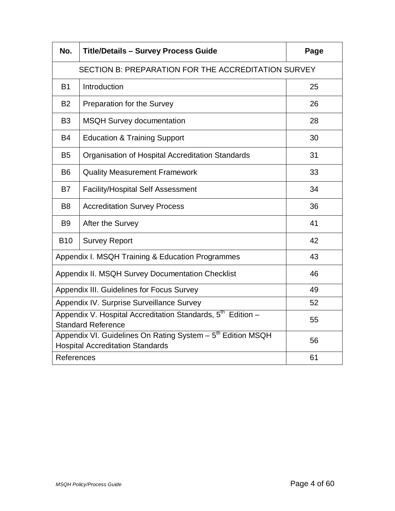| No.                                                                                                                | <b>Title/Details - Survey Process Guide</b>      | Page |
|--------------------------------------------------------------------------------------------------------------------|--------------------------------------------------|------|
| SECTION B: PREPARATION FOR THE ACCREDITATION SURVEY                                                                |                                                  |      |
| <b>B1</b>                                                                                                          | Introduction                                     | 25   |
| <b>B2</b>                                                                                                          | Preparation for the Survey                       | 26   |
| B <sub>3</sub>                                                                                                     | <b>MSQH Survey documentation</b>                 | 28   |
| <b>B4</b>                                                                                                          | <b>Education &amp; Training Support</b>          | 30   |
| <b>B5</b>                                                                                                          | Organisation of Hospital Accreditation Standards | 31   |
| B <sub>6</sub>                                                                                                     | <b>Quality Measurement Framework</b>             | 33   |
| <b>B7</b>                                                                                                          | <b>Facility/Hospital Self Assessment</b>         | 34   |
| B <sub>8</sub>                                                                                                     | <b>Accreditation Survey Process</b>              | 36   |
| B <sub>9</sub>                                                                                                     | After the Survey                                 | 41   |
| <b>B10</b>                                                                                                         | <b>Survey Report</b>                             | 42   |
| Appendix I. MSQH Training & Education Programmes                                                                   |                                                  | 43   |
| Appendix II. MSQH Survey Documentation Checklist                                                                   |                                                  | 46   |
| Appendix III. Guidelines for Focus Survey                                                                          |                                                  | 49   |
| Appendix IV. Surprise Surveillance Survey                                                                          |                                                  | 52   |
| Appendix V. Hospital Accreditation Standards, 5 <sup>th</sup> Edition -<br>55<br><b>Standard Reference</b>         |                                                  |      |
| Appendix VI. Guidelines On Rating System - 5 <sup>th</sup> Edition MSQH<br><b>Hospital Accreditation Standards</b> |                                                  | 56   |
| References                                                                                                         |                                                  | 61   |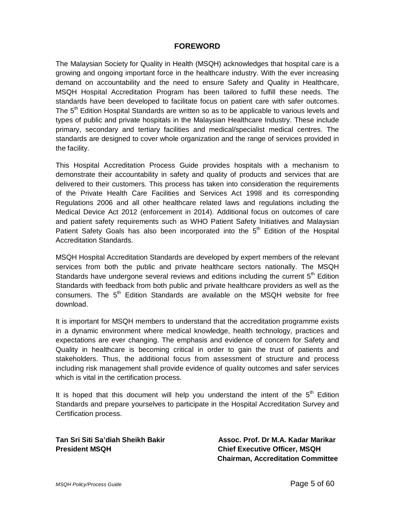#### **FOREWORD**

The Malaysian Society for Quality in Health (MSQH) acknowledges that hospital care is a growing and ongoing important force in the healthcare industry. With the ever increasing demand on accountability and the need to ensure Safety and Quality in Healthcare, MSQH Hospital Accreditation Program has been tailored to fulfill these needs. The standards have been developed to facilitate focus on patient care with safer outcomes. The  $5<sup>th</sup>$  Edition Hospital Standards are written so as to be applicable to various levels and types of public and private hospitals in the Malaysian Healthcare Industry. These include primary, secondary and tertiary facilities and medical/specialist medical centres. The standards are designed to cover whole organization and the range of services provided in the facility.

This Hospital Accreditation Process Guide provides hospitals with a mechanism to demonstrate their accountability in safety and quality of products and services that are delivered to their customers. This process has taken into consideration the requirements of the Private Health Care Facilities and Services Act 1998 and its corresponding Regulations 2006 and all other healthcare related laws and regulations including the Medical Device Act 2012 (enforcement in 2014). Additional focus on outcomes of care and patient safety requirements such as WHO Patient Safety Initiatives and Malaysian Patient Safety Goals has also been incorporated into the  $5<sup>th</sup>$  Edition of the Hospital Accreditation Standards.

MSQH Hospital Accreditation Standards are developed by expert members of the relevant services from both the public and private healthcare sectors nationally. The MSQH Standards have undergone several reviews and editions including the current  $5<sup>th</sup>$  Edition Standards with feedback from both public and private healthcare providers as well as the consumers. The 5<sup>th</sup> Edition Standards are available on the MSQH website for free download.

It is important for MSQH members to understand that the accreditation programme exists in a dynamic environment where medical knowledge, health technology, practices and expectations are ever changing. The emphasis and evidence of concern for Safety and Quality in healthcare is becoming critical in order to gain the trust of patients and stakeholders. Thus, the additional focus from assessment of structure and process including risk management shall provide evidence of quality outcomes and safer services which is vital in the certification process.

It is hoped that this document will help you understand the intent of the  $5<sup>th</sup>$  Edition Standards and prepare yourselves to participate in the Hospital Accreditation Survey and Certification process.

**President MSQH Chief Executive Officer, MSQH**

**Tan Sri Siti Sa'diah Sheikh Bakir Assoc. Prof. Dr M.A. Kadar Marikar Chairman, Accreditation Committee**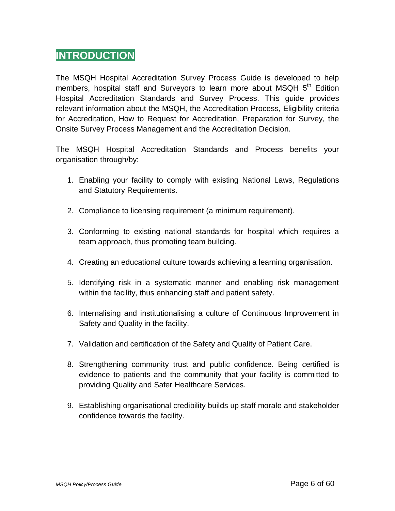## **INTRODUCTION**

The MSQH Hospital Accreditation Survey Process Guide is developed to help members, hospital staff and Surveyors to learn more about MSQH  $5<sup>th</sup>$  Edition Hospital Accreditation Standards and Survey Process. This guide provides relevant information about the MSQH, the Accreditation Process, Eligibility criteria for Accreditation, How to Request for Accreditation, Preparation for Survey, the Onsite Survey Process Management and the Accreditation Decision.

The MSQH Hospital Accreditation Standards and Process benefits your organisation through/by:

- 1. Enabling your facility to comply with existing National Laws, Regulations and Statutory Requirements.
- 2. Compliance to licensing requirement (a minimum requirement).
- 3. Conforming to existing national standards for hospital which requires a team approach, thus promoting team building.
- 4. Creating an educational culture towards achieving a learning organisation.
- 5. Identifying risk in a systematic manner and enabling risk management within the facility, thus enhancing staff and patient safety.
- 6. Internalising and institutionalising a culture of Continuous Improvement in Safety and Quality in the facility.
- 7. Validation and certification of the Safety and Quality of Patient Care.
- 8. Strengthening community trust and public confidence. Being certified is evidence to patients and the community that your facility is committed to providing Quality and Safer Healthcare Services.
- 9. Establishing organisational credibility builds up staff morale and stakeholder confidence towards the facility.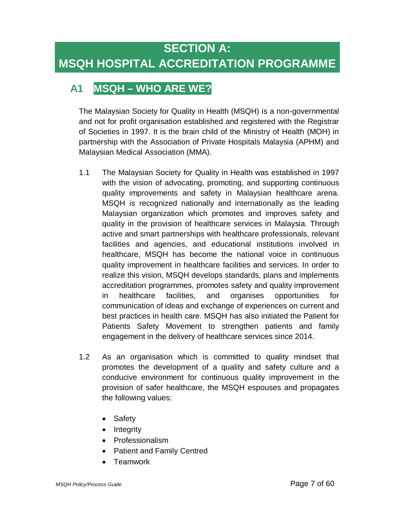# **A1 MSQH – WHO ARE WE?**

The Malaysian Society for Quality in Health (MSQH) is a non-governmental and not for profit organisation established and registered with the Registrar of Societies in 1997. It is the brain child of the Ministry of Health (MOH) in partnership with the Association of Private Hospitals Malaysia (APHM) and Malaysian Medical Association (MMA).

- 1.1 The Malaysian Society for Quality in Health was established in 1997 with the vision of advocating, promoting, and supporting continuous quality improvements and safety in Malaysian healthcare arena. MSQH is recognized nationally and internationally as the leading Malaysian organization which promotes and improves safety and quality in the provision of healthcare services in Malaysia. Through active and smart partnerships with healthcare professionals, relevant facilities and agencies, and educational institutions involved in healthcare, MSQH has become the national voice in continuous quality improvement in healthcare facilities and services. In order to realize this vision, MSQH develops standards, plans and implements accreditation programmes, promotes safety and quality improvement in healthcare facilities, and organises opportunities for communication of ideas and exchange of experiences on current and best practices in health care. MSQH has also initiated the Patient for Patients Safety Movement to strengthen patients and family engagement in the delivery of healthcare services since 2014.
- 1.2 As an organisation which is committed to quality mindset that promotes the development of a quality and safety culture and a conducive environment for continuous quality improvement in the provision of safer healthcare, the MSQH espouses and propagates the following values:
	- Safety
	- Integrity
	- Professionalism
	- Patient and Family Centred
	- Teamwork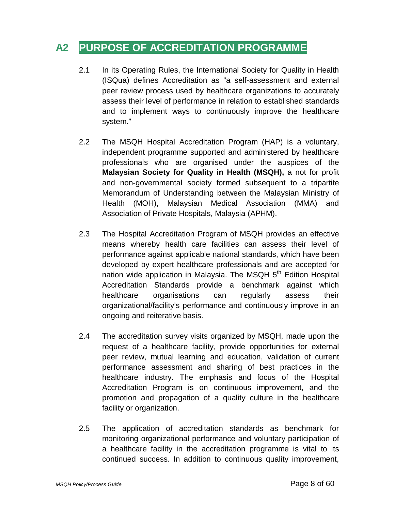## **A2 PURPOSE OF ACCREDITATION PROGRAMME**

- 2.1 In its Operating Rules, the International Society for Quality in Health (ISQua) defines Accreditation as "a self-assessment and external peer review process used by healthcare organizations to accurately assess their level of performance in relation to established standards and to implement ways to continuously improve the healthcare system."
- 2.2 The MSQH Hospital Accreditation Program (HAP) is a voluntary, independent programme supported and administered by healthcare professionals who are organised under the auspices of the **Malaysian Society for Quality in Health (MSQH),** a not for profit and non-governmental society formed subsequent to a tripartite Memorandum of Understanding between the Malaysian Ministry of Health (MOH), Malaysian Medical Association (MMA) and Association of Private Hospitals, Malaysia (APHM).
- 2.3 The Hospital Accreditation Program of MSQH provides an effective means whereby health care facilities can assess their level of performance against applicable national standards, which have been developed by expert healthcare professionals and are accepted for nation wide application in Malaysia. The MSQH 5<sup>th</sup> Edition Hospital Accreditation Standards provide a benchmark against which healthcare organisations can regularly assess their organizational/facility's performance and continuously improve in an ongoing and reiterative basis.
- 2.4 The accreditation survey visits organized by MSQH, made upon the request of a healthcare facility, provide opportunities for external peer review, mutual learning and education, validation of current performance assessment and sharing of best practices in the healthcare industry. The emphasis and focus of the Hospital Accreditation Program is on continuous improvement, and the promotion and propagation of a quality culture in the healthcare facility or organization.
- 2.5 The application of accreditation standards as benchmark for monitoring organizational performance and voluntary participation of a healthcare facility in the accreditation programme is vital to its continued success. In addition to continuous quality improvement,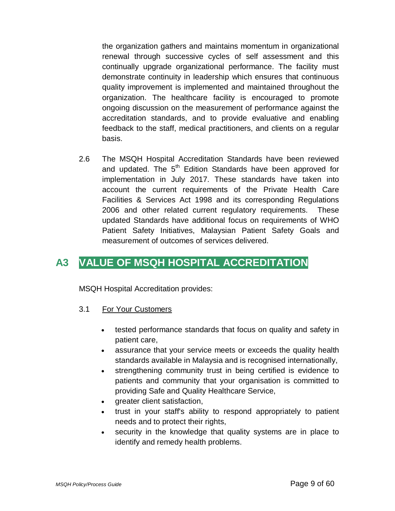the organization gathers and maintains momentum in organizational renewal through successive cycles of self assessment and this continually upgrade organizational performance. The facility must demonstrate continuity in leadership which ensures that continuous quality improvement is implemented and maintained throughout the organization. The healthcare facility is encouraged to promote ongoing discussion on the measurement of performance against the accreditation standards, and to provide evaluative and enabling feedback to the staff, medical practitioners, and clients on a regular basis.

2.6 The MSQH Hospital Accreditation Standards have been reviewed and updated. The 5<sup>th</sup> Edition Standards have been approved for implementation in July 2017. These standards have taken into account the current requirements of the Private Health Care Facilities & Services Act 1998 and its corresponding Regulations 2006 and other related current regulatory requirements. These updated Standards have additional focus on requirements of WHO Patient Safety Initiatives, Malaysian Patient Safety Goals and measurement of outcomes of services delivered.

## **A3 VALUE OF MSQH HOSPITAL ACCREDITATION**

MSQH Hospital Accreditation provides:

- 3.1 For Your Customers
	- tested performance standards that focus on quality and safety in patient care,
	- assurance that your service meets or exceeds the quality health standards available in Malaysia and is recognised internationally,
	- strengthening community trust in being certified is evidence to patients and community that your organisation is committed to providing Safe and Quality Healthcare Service,
	- greater client satisfaction,
	- trust in your staff's ability to respond appropriately to patient needs and to protect their rights,
	- security in the knowledge that quality systems are in place to identify and remedy health problems.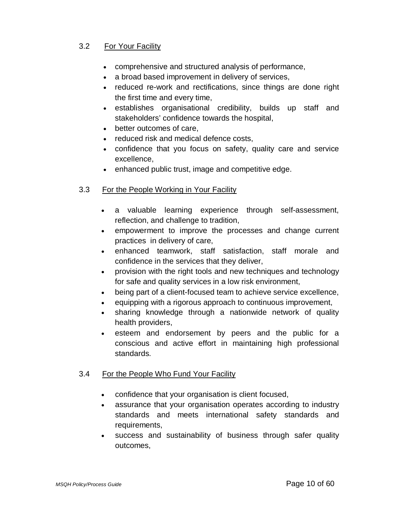#### 3.2 For Your Facility

- comprehensive and structured analysis of performance,
- a broad based improvement in delivery of services,
- reduced re-work and rectifications, since things are done right the first time and every time,
- establishes organisational credibility, builds up staff and stakeholders' confidence towards the hospital,
- better outcomes of care,
- reduced risk and medical defence costs,
- confidence that you focus on safety, quality care and service excellence,
- enhanced public trust, image and competitive edge.

#### 3.3 For the People Working in Your Facility

- a valuable learning experience through self-assessment, reflection, and challenge to tradition,
- empowerment to improve the processes and change current practices in delivery of care,
- enhanced teamwork, staff satisfaction, staff morale and confidence in the services that they deliver,
- provision with the right tools and new techniques and technology for safe and quality services in a low risk environment,
- being part of a client-focused team to achieve service excellence,
- equipping with a rigorous approach to continuous improvement,
- sharing knowledge through a nationwide network of quality health providers,
- esteem and endorsement by peers and the public for a conscious and active effort in maintaining high professional standards.

#### 3.4 For the People Who Fund Your Facility

- confidence that your organisation is client focused,
- assurance that your organisation operates according to industry standards and meets international safety standards and requirements,
- success and sustainability of business through safer quality outcomes,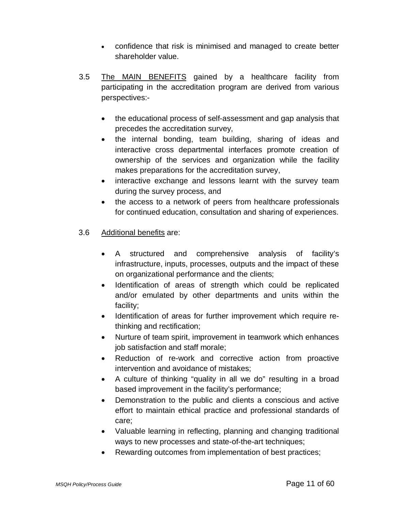- confidence that risk is minimised and managed to create better shareholder value.
- 3.5 The MAIN BENEFITS gained by a healthcare facility from participating in the accreditation program are derived from various perspectives:-
	- the educational process of self-assessment and gap analysis that precedes the accreditation survey,
	- the internal bonding, team building, sharing of ideas and interactive cross departmental interfaces promote creation of ownership of the services and organization while the facility makes preparations for the accreditation survey,
	- interactive exchange and lessons learnt with the survey team during the survey process, and
	- the access to a network of peers from healthcare professionals for continued education, consultation and sharing of experiences.
- 3.6 Additional benefits are:
	- A structured and comprehensive analysis of facility's infrastructure, inputs, processes, outputs and the impact of these on organizational performance and the clients;
	- Identification of areas of strength which could be replicated and/or emulated by other departments and units within the facility;
	- Identification of areas for further improvement which require rethinking and rectification;
	- Nurture of team spirit, improvement in teamwork which enhances job satisfaction and staff morale;
	- Reduction of re-work and corrective action from proactive intervention and avoidance of mistakes;
	- A culture of thinking "quality in all we do" resulting in a broad based improvement in the facility's performance;
	- Demonstration to the public and clients a conscious and active effort to maintain ethical practice and professional standards of care;
	- Valuable learning in reflecting, planning and changing traditional ways to new processes and state-of-the-art techniques;
	- Rewarding outcomes from implementation of best practices;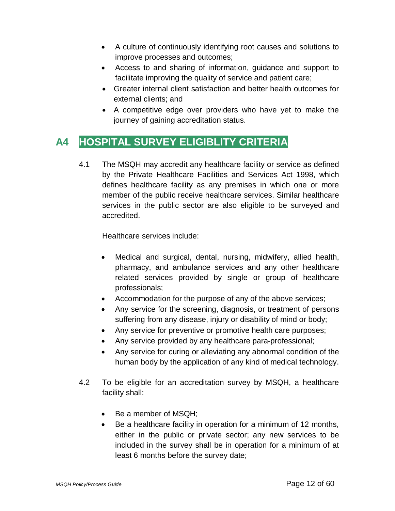- A culture of continuously identifying root causes and solutions to improve processes and outcomes;
- Access to and sharing of information, guidance and support to facilitate improving the quality of service and patient care;
- Greater internal client satisfaction and better health outcomes for external clients; and
- A competitive edge over providers who have yet to make the journey of gaining accreditation status.

## **A4 HOSPITAL SURVEY ELIGIBLITY CRITERIA**

4.1 The MSQH may accredit any healthcare facility or service as defined by the Private Healthcare Facilities and Services Act 1998, which defines healthcare facility as any premises in which one or more member of the public receive healthcare services. Similar healthcare services in the public sector are also eligible to be surveyed and accredited.

Healthcare services include:

- Medical and surgical, dental, nursing, midwifery, allied health, pharmacy, and ambulance services and any other healthcare related services provided by single or group of healthcare professionals;
- Accommodation for the purpose of any of the above services;
- Any service for the screening, diagnosis, or treatment of persons suffering from any disease, injury or disability of mind or body;
- Any service for preventive or promotive health care purposes;
- Any service provided by any healthcare para-professional;
- Any service for curing or alleviating any abnormal condition of the human body by the application of any kind of medical technology.
- 4.2 To be eligible for an accreditation survey by MSQH, a healthcare facility shall:
	- Be a member of MSQH:
	- Be a healthcare facility in operation for a minimum of 12 months, either in the public or private sector; any new services to be included in the survey shall be in operation for a minimum of at least 6 months before the survey date;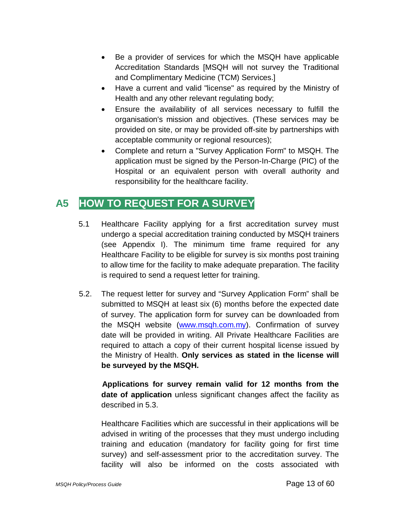- Be a provider of services for which the MSQH have applicable Accreditation Standards [MSQH will not survey the Traditional and Complimentary Medicine (TCM) Services.]
- Have a current and valid "license" as required by the Ministry of Health and any other relevant regulating body;
- Ensure the availability of all services necessary to fulfill the organisation's mission and objectives. (These services may be provided on site, or may be provided off-site by partnerships with acceptable community or regional resources);
- Complete and return a "Survey Application Form" to MSQH. The application must be signed by the Person-In-Charge (PIC) of the Hospital or an equivalent person with overall authority and responsibility for the healthcare facility.

## **A5 HOW TO REQUEST FOR A SURVEY**

- 5.1 Healthcare Facility applying for a first accreditation survey must undergo a special accreditation training conducted by MSQH trainers (see Appendix I). The minimum time frame required for any Healthcare Facility to be eligible for survey is six months post training to allow time for the facility to make adequate preparation. The facility is required to send a request letter for training.
- 5.2. The request letter for survey and "Survey Application Form" shall be submitted to MSQH at least six (6) months before the expected date of survey. The application form for survey can be downloaded from the MSQH website [\(www.msqh.com.my\)](http://www.msqh.com.my/). Confirmation of survey date will be provided in writing. All Private Healthcare Facilities are required to attach a copy of their current hospital license issued by the Ministry of Health. **Only services as stated in the license will be surveyed by the MSQH.**

**Applications for survey remain valid for 12 months from the date of application** unless significant changes affect the facility as described in 5.3.

Healthcare Facilities which are successful in their applications will be advised in writing of the processes that they must undergo including training and education (mandatory for facility going for first time survey) and self-assessment prior to the accreditation survey. The facility will also be informed on the costs associated with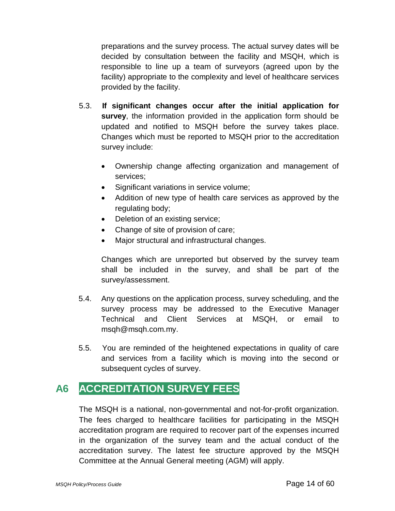preparations and the survey process. The actual survey dates will be decided by consultation between the facility and MSQH, which is responsible to line up a team of surveyors (agreed upon by the facility) appropriate to the complexity and level of healthcare services provided by the facility.

- 5.3. **If significant changes occur after the initial application for survey**, the information provided in the application form should be updated and notified to MSQH before the survey takes place. Changes which must be reported to MSQH prior to the accreditation survey include:
	- Ownership change affecting organization and management of services;
	- Significant variations in service volume;
	- Addition of new type of health care services as approved by the regulating body;
	- Deletion of an existing service;
	- Change of site of provision of care;
	- Major structural and infrastructural changes.

Changes which are unreported but observed by the survey team shall be included in the survey, and shall be part of the survey/assessment.

- 5.4. Any questions on the application process, survey scheduling, and the survey process may be addressed to the Executive Manager Technical and Client Services at MSQH, or email to msqh@msqh.com.my.
- 5.5. You are reminded of the heightened expectations in quality of care and services from a facility which is moving into the second or subsequent cycles of survey.

# **A6 ACCREDITATION SURVEY FEES**

The MSQH is a national, non-governmental and not-for-profit organization. The fees charged to healthcare facilities for participating in the MSQH accreditation program are required to recover part of the expenses incurred in the organization of the survey team and the actual conduct of the accreditation survey. The latest fee structure approved by the MSQH Committee at the Annual General meeting (AGM) will apply.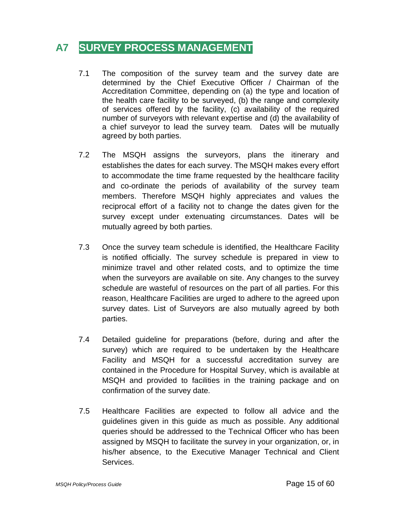## **A7 SURVEY PROCESS MANAGEMENT**

- 7.1 The composition of the survey team and the survey date are determined by the Chief Executive Officer / Chairman of the Accreditation Committee, depending on (a) the type and location of the health care facility to be surveyed, (b) the range and complexity of services offered by the facility, (c) availability of the required number of surveyors with relevant expertise and (d) the availability of a chief surveyor to lead the survey team. Dates will be mutually agreed by both parties.
- 7.2 The MSQH assigns the surveyors, plans the itinerary and establishes the dates for each survey. The MSQH makes every effort to accommodate the time frame requested by the healthcare facility and co-ordinate the periods of availability of the survey team members. Therefore MSQH highly appreciates and values the reciprocal effort of a facility not to change the dates given for the survey except under extenuating circumstances. Dates will be mutually agreed by both parties.
- 7.3 Once the survey team schedule is identified, the Healthcare Facility is notified officially. The survey schedule is prepared in view to minimize travel and other related costs, and to optimize the time when the surveyors are available on site. Any changes to the survey schedule are wasteful of resources on the part of all parties. For this reason, Healthcare Facilities are urged to adhere to the agreed upon survey dates. List of Surveyors are also mutually agreed by both parties.
- 7.4 Detailed guideline for preparations (before, during and after the survey) which are required to be undertaken by the Healthcare Facility and MSQH for a successful accreditation survey are contained in the Procedure for Hospital Survey, which is available at MSQH and provided to facilities in the training package and on confirmation of the survey date.
- 7.5 Healthcare Facilities are expected to follow all advice and the guidelines given in this guide as much as possible. Any additional queries should be addressed to the Technical Officer who has been assigned by MSQH to facilitate the survey in your organization, or, in his/her absence, to the Executive Manager Technical and Client Services.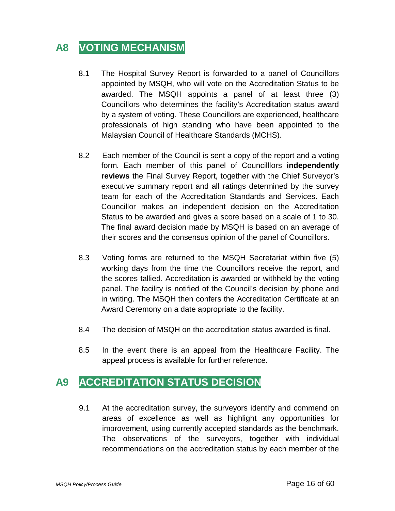# **A8 VOTING MECHANISM**

- 8.1 The Hospital Survey Report is forwarded to a panel of Councillors appointed by MSQH, who will vote on the Accreditation Status to be awarded. The MSQH appoints a panel of at least three (3) Councillors who determines the facility's Accreditation status award by a system of voting. These Councillors are experienced, healthcare professionals of high standing who have been appointed to the Malaysian Council of Healthcare Standards (MCHS).
- 8.2 Each member of the Council is sent a copy of the report and a voting form. Each member of this panel of Councilllors **independently reviews** the Final Survey Report, together with the Chief Surveyor's executive summary report and all ratings determined by the survey team for each of the Accreditation Standards and Services. Each Councillor makes an independent decision on the Accreditation Status to be awarded and gives a score based on a scale of 1 to 30. The final award decision made by MSQH is based on an average of their scores and the consensus opinion of the panel of Councillors.
- 8.3 Voting forms are returned to the MSQH Secretariat within five (5) working days from the time the Councillors receive the report, and the scores tallied. Accreditation is awarded or withheld by the voting panel. The facility is notified of the Council's decision by phone and in writing. The MSQH then confers the Accreditation Certificate at an Award Ceremony on a date appropriate to the facility.
- 8.4 The decision of MSQH on the accreditation status awarded is final.
- 8.5 In the event there is an appeal from the Healthcare Facility. The appeal process is available for further reference.

## **A9 ACCREDITATION STATUS DECISION**

9.1 At the accreditation survey, the surveyors identify and commend on areas of excellence as well as highlight any opportunities for improvement, using currently accepted standards as the benchmark. The observations of the surveyors, together with individual recommendations on the accreditation status by each member of the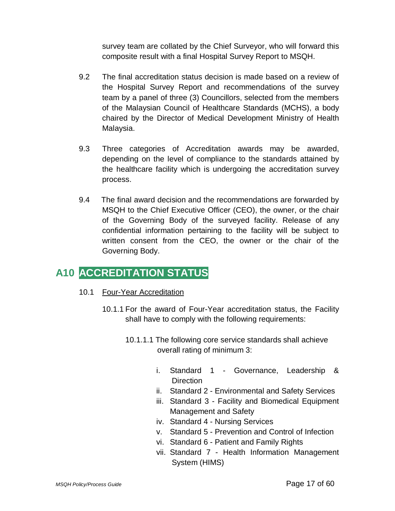survey team are collated by the Chief Surveyor, who will forward this composite result with a final Hospital Survey Report to MSQH.

- 9.2 The final accreditation status decision is made based on a review of the Hospital Survey Report and recommendations of the survey team by a panel of three (3) Councillors, selected from the members of the Malaysian Council of Healthcare Standards (MCHS), a body chaired by the Director of Medical Development Ministry of Health Malaysia.
- 9.3 Three categories of Accreditation awards may be awarded, depending on the level of compliance to the standards attained by the healthcare facility which is undergoing the accreditation survey process.
- 9.4 The final award decision and the recommendations are forwarded by MSQH to the Chief Executive Officer (CEO), the owner, or the chair of the Governing Body of the surveyed facility. Release of any confidential information pertaining to the facility will be subject to written consent from the CEO, the owner or the chair of the Governing Body.

## **A10 ACCREDITATION STATUS**

#### 10.1 Four-Year Accreditation

- 10.1.1 For the award of Four-Year accreditation status, the Facility shall have to comply with the following requirements:
	- 10.1.1.1 The following core service standards shall achieve overall rating of minimum 3:
		- i. Standard 1 Governance, Leadership & **Direction**
		- ii. Standard 2 Environmental and Safety Services
		- iii. Standard 3 Facility and Biomedical Equipment Management and Safety
		- iv. Standard 4 Nursing Services
		- v. Standard 5 Prevention and Control of Infection
		- vi. Standard 6 Patient and Family Rights
		- vii. Standard 7 Health Information Management System (HIMS)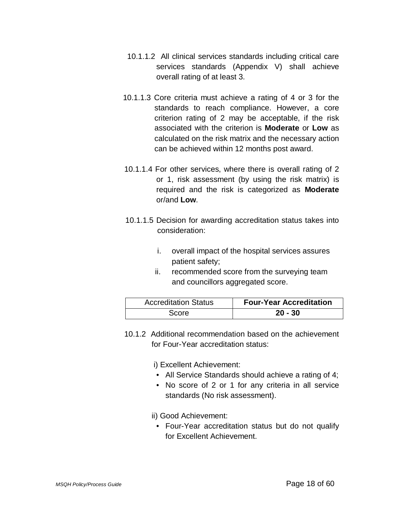- 10.1.1.2 All clinical services standards including critical care services standards (Appendix V) shall achieve overall rating of at least 3.
- 10.1.1.3 Core criteria must achieve a rating of 4 or 3 for the standards to reach compliance. However, a core criterion rating of 2 may be acceptable, if the risk associated with the criterion is **Moderate** or **Low** as calculated on the risk matrix and the necessary action can be achieved within 12 months post award.
- 10.1.1.4 For other services, where there is overall rating of 2 or 1, risk assessment (by using the risk matrix) is required and the risk is categorized as **Moderate** or/and **Low**.
- 10.1.1.5 Decision for awarding accreditation status takes into consideration:
	- i. overall impact of the hospital services assures patient safety;
	- ii. recommended score from the surveying team and councillors aggregated score.

| <b>Accreditation Status</b> | <b>Four-Year Accreditation</b> |
|-----------------------------|--------------------------------|
| Score                       | $20 - 30$                      |

10.1.2 Additional recommendation based on the achievement for Four-Year accreditation status:

i) Excellent Achievement:

- All Service Standards should achieve a rating of 4;
- No score of 2 or 1 for any criteria in all service standards (No risk assessment).

ii) Good Achievement:

• Four-Year accreditation status but do not qualify for Excellent Achievement.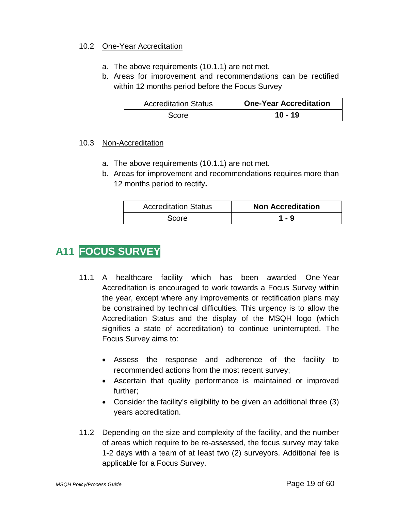#### 10.2 One-Year Accreditation

- a. The above requirements (10.1.1) are not met.
- b. Areas for improvement and recommendations can be rectified within 12 months period before the Focus Survey

| <b>Accreditation Status</b> | <b>One-Year Accreditation</b> |
|-----------------------------|-------------------------------|
| Score                       | $10 - 19$                     |

#### 10.3 Non-Accreditation

- a. The above requirements (10.1.1) are not met.
- b. Areas for improvement and recommendations requires more than 12 months period to rectify**.**

| <b>Accreditation Status</b> | <b>Non Accreditation</b> |
|-----------------------------|--------------------------|
| <b>Score</b>                | 1 - 9                    |

# **A11 FOCUS SURVEY**

- 11.1 A healthcare facility which has been awarded One-Year Accreditation is encouraged to work towards a Focus Survey within the year, except where any improvements or rectification plans may be constrained by technical difficulties. This urgency is to allow the Accreditation Status and the display of the MSQH logo (which signifies a state of accreditation) to continue uninterrupted. The Focus Survey aims to:
	- Assess the response and adherence of the facility to recommended actions from the most recent survey;
	- Ascertain that quality performance is maintained or improved further;
	- Consider the facility's eligibility to be given an additional three (3) years accreditation.
- 11.2 Depending on the size and complexity of the facility, and the number of areas which require to be re-assessed, the focus survey may take 1-2 days with a team of at least two (2) surveyors. Additional fee is applicable for a Focus Survey.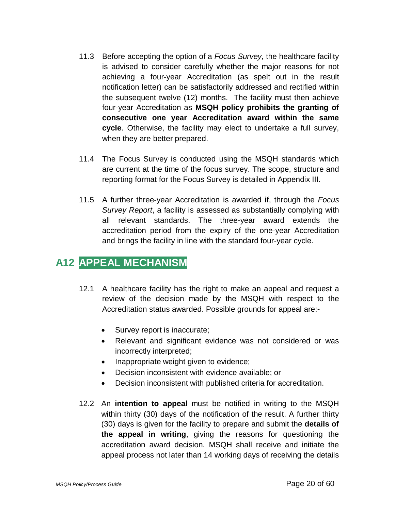- 11.3 Before accepting the option of a *Focus Survey*, the healthcare facility is advised to consider carefully whether the major reasons for not achieving a four-year Accreditation (as spelt out in the result notification letter) can be satisfactorily addressed and rectified within the subsequent twelve (12) months. The facility must then achieve four-year Accreditation as **MSQH policy prohibits the granting of consecutive one year Accreditation award within the same cycle**. Otherwise, the facility may elect to undertake a full survey, when they are better prepared.
- 11.4 The Focus Survey is conducted using the MSQH standards which are current at the time of the focus survey. The scope, structure and reporting format for the Focus Survey is detailed in Appendix III.
- 11.5 A further three-year Accreditation is awarded if, through the *Focus Survey Report*, a facility is assessed as substantially complying with all relevant standards. The three-year award extends the accreditation period from the expiry of the one-year Accreditation and brings the facility in line with the standard four-year cycle.

## **A12 APPEAL MECHANISM**

- 12.1 A healthcare facility has the right to make an appeal and request a review of the decision made by the MSQH with respect to the Accreditation status awarded. Possible grounds for appeal are:-
	- Survey report is inaccurate;
	- Relevant and significant evidence was not considered or was incorrectly interpreted;
	- Inappropriate weight given to evidence;
	- Decision inconsistent with evidence available; or
	- Decision inconsistent with published criteria for accreditation.
- 12.2 An **intention to appeal** must be notified in writing to the MSQH within thirty (30) days of the notification of the result. A further thirty (30) days is given for the facility to prepare and submit the **details of the appeal in writing**, giving the reasons for questioning the accreditation award decision. MSQH shall receive and initiate the appeal process not later than 14 working days of receiving the details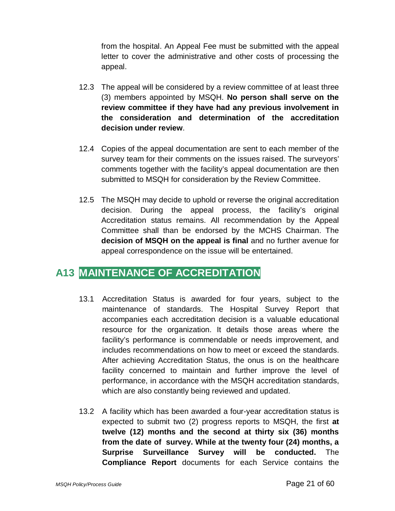from the hospital. An Appeal Fee must be submitted with the appeal letter to cover the administrative and other costs of processing the appeal.

- 12.3 The appeal will be considered by a review committee of at least three (3) members appointed by MSQH. **No person shall serve on the review committee if they have had any previous involvement in the consideration and determination of the accreditation decision under review**.
- 12.4 Copies of the appeal documentation are sent to each member of the survey team for their comments on the issues raised. The surveyors' comments together with the facility's appeal documentation are then submitted to MSQH for consideration by the Review Committee.
- 12.5 The MSQH may decide to uphold or reverse the original accreditation decision. During the appeal process, the facility's original Accreditation status remains. All recommendation by the Appeal Committee shall than be endorsed by the MCHS Chairman. The **decision of MSQH on the appeal is final** and no further avenue for appeal correspondence on the issue will be entertained.

## **A13 MAINTENANCE OF ACCREDITATION**

- 13.1 Accreditation Status is awarded for four years, subject to the maintenance of standards. The Hospital Survey Report that accompanies each accreditation decision is a valuable educational resource for the organization. It details those areas where the facility's performance is commendable or needs improvement, and includes recommendations on how to meet or exceed the standards. After achieving Accreditation Status, the onus is on the healthcare facility concerned to maintain and further improve the level of performance, in accordance with the MSQH accreditation standards, which are also constantly being reviewed and updated.
- 13.2 A facility which has been awarded a four-year accreditation status is expected to submit two (2) progress reports to MSQH, the first **at twelve (12) months and the second at thirty six (36) months from the date of survey. While at the twenty four (24) months, a Surprise Surveillance Survey will be conducted.** The **Compliance Report** documents for each Service contains the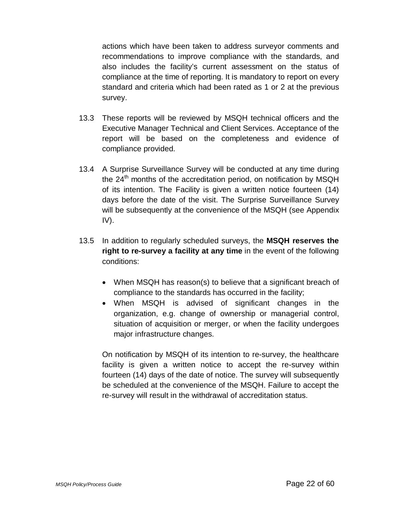actions which have been taken to address surveyor comments and recommendations to improve compliance with the standards, and also includes the facility's current assessment on the status of compliance at the time of reporting. It is mandatory to report on every standard and criteria which had been rated as 1 or 2 at the previous survey.

- 13.3 These reports will be reviewed by MSQH technical officers and the Executive Manager Technical and Client Services. Acceptance of the report will be based on the completeness and evidence of compliance provided.
- 13.4 A Surprise Surveillance Survey will be conducted at any time during the  $24<sup>th</sup>$  months of the accreditation period, on notification by MSQH of its intention. The Facility is given a written notice fourteen (14) days before the date of the visit. The Surprise Surveillance Survey will be subsequently at the convenience of the MSQH (see Appendix IV).
- 13.5 In addition to regularly scheduled surveys, the **MSQH reserves the right to re-survey a facility at any time** in the event of the following conditions:
	- When MSQH has reason(s) to believe that a significant breach of compliance to the standards has occurred in the facility;
	- When MSQH is advised of significant changes in the organization, e.g. change of ownership or managerial control, situation of acquisition or merger, or when the facility undergoes major infrastructure changes.

On notification by MSQH of its intention to re-survey, the healthcare facility is given a written notice to accept the re-survey within fourteen (14) days of the date of notice. The survey will subsequently be scheduled at the convenience of the MSQH. Failure to accept the re-survey will result in the withdrawal of accreditation status.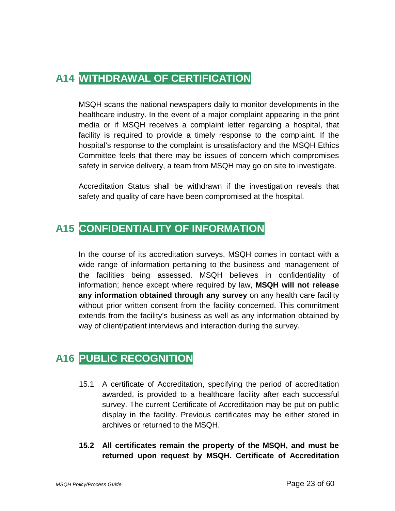# **A14 WITHDRAWAL OF CERTIFICATION**

MSQH scans the national newspapers daily to monitor developments in the healthcare industry. In the event of a major complaint appearing in the print media or if MSQH receives a complaint letter regarding a hospital, that facility is required to provide a timely response to the complaint. If the hospital's response to the complaint is unsatisfactory and the MSQH Ethics Committee feels that there may be issues of concern which compromises safety in service delivery, a team from MSQH may go on site to investigate.

Accreditation Status shall be withdrawn if the investigation reveals that safety and quality of care have been compromised at the hospital.

## **A15 CONFIDENTIALITY OF INFORMATION**

In the course of its accreditation surveys, MSQH comes in contact with a wide range of information pertaining to the business and management of the facilities being assessed. MSQH believes in confidentiality of information; hence except where required by law, **MSQH will not release any information obtained through any survey** on any health care facility without prior written consent from the facility concerned. This commitment extends from the facility's business as well as any information obtained by way of client/patient interviews and interaction during the survey.

## **A16 PUBLIC RECOGNITION**

- 15.1 A certificate of Accreditation, specifying the period of accreditation awarded, is provided to a healthcare facility after each successful survey. The current Certificate of Accreditation may be put on public display in the facility. Previous certificates may be either stored in archives or returned to the MSQH.
- **15.2 All certificates remain the property of the MSQH, and must be returned upon request by MSQH. Certificate of Accreditation**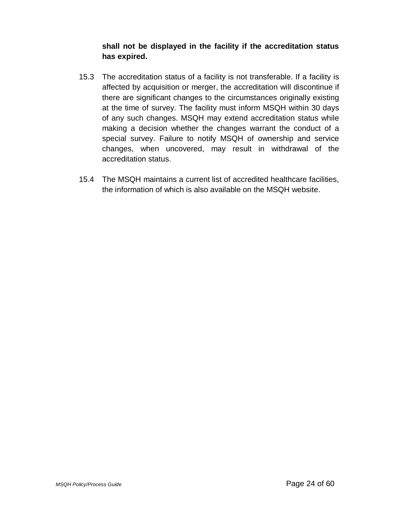#### **shall not be displayed in the facility if the accreditation status has expired.**

- 15.3 The accreditation status of a facility is not transferable. If a facility is affected by acquisition or merger, the accreditation will discontinue if there are significant changes to the circumstances originally existing at the time of survey. The facility must inform MSQH within 30 days of any such changes. MSQH may extend accreditation status while making a decision whether the changes warrant the conduct of a special survey. Failure to notify MSQH of ownership and service changes, when uncovered, may result in withdrawal of the accreditation status.
- 15.4 The MSQH maintains a current list of accredited healthcare facilities, the information of which is also available on the MSQH website.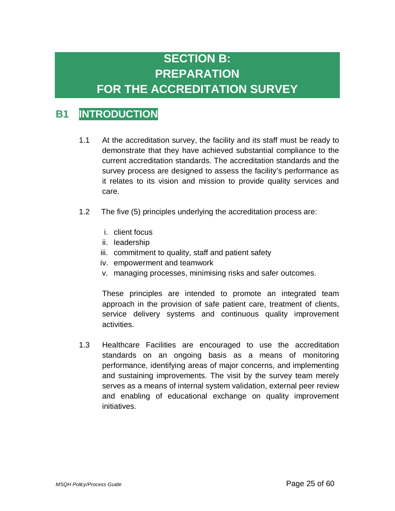# **SECTION B: PREPARATION**

# **FOR THE ACCREDITATION SURVEY**

## **B1 INTRODUCTION**

- 1.1 At the accreditation survey, the facility and its staff must be ready to demonstrate that they have achieved substantial compliance to the current accreditation standards. The accreditation standards and the survey process are designed to assess the facility's performance as it relates to its vision and mission to provide quality services and care.
- 1.2 The five (5) principles underlying the accreditation process are:
	- i. client focus
	- ii. leadership
	- iii. commitment to quality, staff and patient safety
	- iv. empowerment and teamwork
	- v. managing processes, minimising risks and safer outcomes.

These principles are intended to promote an integrated team approach in the provision of safe patient care, treatment of clients, service delivery systems and continuous quality improvement activities.

1.3 Healthcare Facilities are encouraged to use the accreditation standards on an ongoing basis as a means of monitoring performance, identifying areas of major concerns, and implementing and sustaining improvements. The visit by the survey team merely serves as a means of internal system validation, external peer review and enabling of educational exchange on quality improvement initiatives.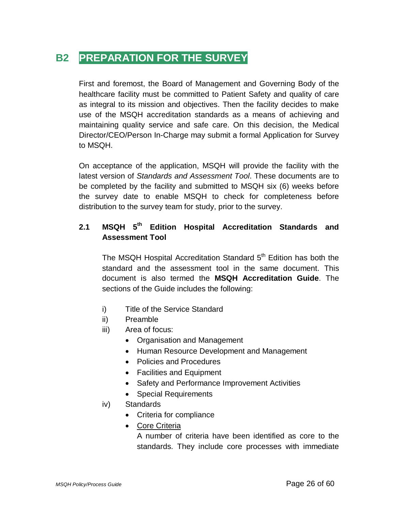## **B2 PREPARATION FOR THE SURVEY**

First and foremost, the Board of Management and Governing Body of the healthcare facility must be committed to Patient Safety and quality of care as integral to its mission and objectives. Then the facility decides to make use of the MSQH accreditation standards as a means of achieving and maintaining quality service and safe care. On this decision, the Medical Director/CEO/Person In-Charge may submit a formal Application for Survey to MSQH.

On acceptance of the application, MSQH will provide the facility with the latest version of *Standards and Assessment Tool*. These documents are to be completed by the facility and submitted to MSQH six (6) weeks before the survey date to enable MSQH to check for completeness before distribution to the survey team for study, prior to the survey.

#### **2.1 MSQH 5th Edition Hospital Accreditation Standards and Assessment Tool**

The MSQH Hospital Accreditation Standard 5<sup>th</sup> Edition has both the standard and the assessment tool in the same document. This document is also termed the **MSQH Accreditation Guide**. The sections of the Guide includes the following:

- i) Title of the Service Standard
- ii) Preamble
- iii) Area of focus:
	- Organisation and Management
	- Human Resource Development and Management
	- Policies and Procedures
	- Facilities and Equipment
	- Safety and Performance Improvement Activities
	- Special Requirements

#### iv) Standards

- Criteria for compliance
- Core Criteria

A number of criteria have been identified as core to the standards. They include core processes with immediate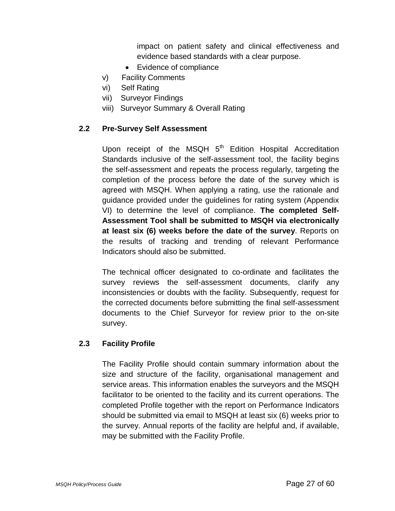impact on patient safety and clinical effectiveness and evidence based standards with a clear purpose.

- Evidence of compliance
- v) Facility Comments
- vi) Self Rating
- vii) Surveyor Findings
- viii) Surveyor Summary & Overall Rating

#### **2.2 Pre-Survey Self Assessment**

Upon receipt of the MSQH  $5<sup>th</sup>$  Edition Hospital Accreditation Standards inclusive of the self-assessment tool, the facility begins the self-assessment and repeats the process regularly, targeting the completion of the process before the date of the survey which is agreed with MSQH. When applying a rating, use the rationale and guidance provided under the guidelines for rating system (Appendix VI) to determine the level of compliance. **The completed Self-Assessment Tool shall be submitted to MSQH via electronically at least six (6) weeks before the date of the survey**. Reports on the results of tracking and trending of relevant Performance Indicators should also be submitted.

The technical officer designated to co-ordinate and facilitates the survey reviews the self-assessment documents, clarify any inconsistencies or doubts with the facility. Subsequently, request for the corrected documents before submitting the final self-assessment documents to the Chief Surveyor for review prior to the on-site survey.

#### **2.3 Facility Profile**

The Facility Profile should contain summary information about the size and structure of the facility, organisational management and service areas. This information enables the surveyors and the MSQH facilitator to be oriented to the facility and its current operations. The completed Profile together with the report on Performance Indicators should be submitted via email to MSQH at least six (6) weeks prior to the survey. Annual reports of the facility are helpful and, if available, may be submitted with the Facility Profile.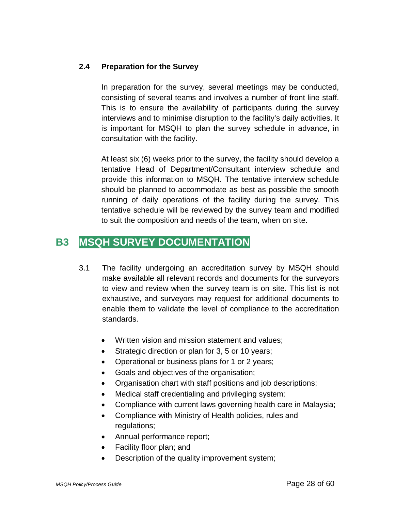#### **2.4 Preparation for the Survey**

In preparation for the survey, several meetings may be conducted, consisting of several teams and involves a number of front line staff. This is to ensure the availability of participants during the survey interviews and to minimise disruption to the facility's daily activities. It is important for MSQH to plan the survey schedule in advance, in consultation with the facility.

At least six (6) weeks prior to the survey, the facility should develop a tentative Head of Department/Consultant interview schedule and provide this information to MSQH. The tentative interview schedule should be planned to accommodate as best as possible the smooth running of daily operations of the facility during the survey. This tentative schedule will be reviewed by the survey team and modified to suit the composition and needs of the team, when on site.

## **B3 MSQH SURVEY DOCUMENTATION**

- 3.1 The facility undergoing an accreditation survey by MSQH should make available all relevant records and documents for the surveyors to view and review when the survey team is on site. This list is not exhaustive, and surveyors may request for additional documents to enable them to validate the level of compliance to the accreditation standards.
	- Written vision and mission statement and values;
	- Strategic direction or plan for 3, 5 or 10 years;
	- Operational or business plans for 1 or 2 years;
	- Goals and objectives of the organisation;
	- Organisation chart with staff positions and job descriptions;
	- Medical staff credentialing and privileging system;
	- Compliance with current laws governing health care in Malaysia;
	- Compliance with Ministry of Health policies, rules and regulations;
	- Annual performance report;
	- Facility floor plan; and
	- Description of the quality improvement system;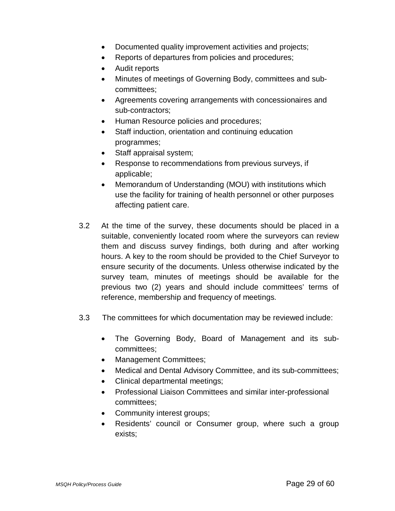- Documented quality improvement activities and projects;
- Reports of departures from policies and procedures;
- Audit reports
- Minutes of meetings of Governing Body, committees and subcommittees;
- Agreements covering arrangements with concessionaires and sub-contractors;
- Human Resource policies and procedures;
- Staff induction, orientation and continuing education programmes;
- Staff appraisal system;
- Response to recommendations from previous surveys, if applicable;
- Memorandum of Understanding (MOU) with institutions which use the facility for training of health personnel or other purposes affecting patient care.
- 3.2 At the time of the survey, these documents should be placed in a suitable, conveniently located room where the surveyors can review them and discuss survey findings, both during and after working hours. A key to the room should be provided to the Chief Surveyor to ensure security of the documents. Unless otherwise indicated by the survey team, minutes of meetings should be available for the previous two (2) years and should include committees' terms of reference, membership and frequency of meetings.
- 3.3 The committees for which documentation may be reviewed include:
	- The Governing Body, Board of Management and its subcommittees;
	- Management Committees;
	- Medical and Dental Advisory Committee, and its sub-committees;
	- Clinical departmental meetings;
	- Professional Liaison Committees and similar inter-professional committees;
	- Community interest groups;
	- Residents' council or Consumer group, where such a group exists;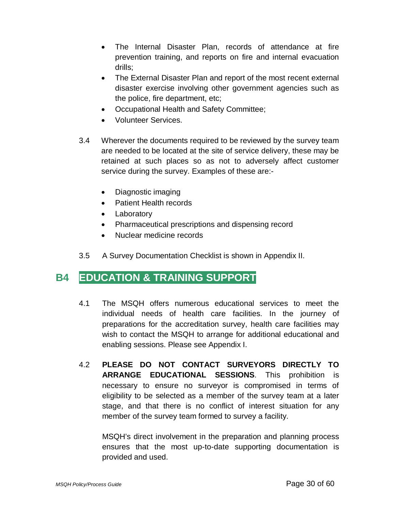- The Internal Disaster Plan, records of attendance at fire prevention training, and reports on fire and internal evacuation drills;
- The External Disaster Plan and report of the most recent external disaster exercise involving other government agencies such as the police, fire department, etc;
- Occupational Health and Safety Committee;
- Volunteer Services.
- 3.4 Wherever the documents required to be reviewed by the survey team are needed to be located at the site of service delivery, these may be retained at such places so as not to adversely affect customer service during the survey. Examples of these are:-
	- Diagnostic imaging
	- Patient Health records
	- Laboratory
	- Pharmaceutical prescriptions and dispensing record
	- Nuclear medicine records
- 3.5 A Survey Documentation Checklist is shown in Appendix II.

## **B4 EDUCATION & TRAINING SUPPORT**

- 4.1 The MSQH offers numerous educational services to meet the individual needs of health care facilities. In the journey of preparations for the accreditation survey, health care facilities may wish to contact the MSQH to arrange for additional educational and enabling sessions. Please see Appendix I.
- 4.2 **PLEASE DO NOT CONTACT SURVEYORS DIRECTLY TO ARRANGE EDUCATIONAL SESSIONS**. This prohibition is necessary to ensure no surveyor is compromised in terms of eligibility to be selected as a member of the survey team at a later stage, and that there is no conflict of interest situation for any member of the survey team formed to survey a facility.

MSQH's direct involvement in the preparation and planning process ensures that the most up-to-date supporting documentation is provided and used.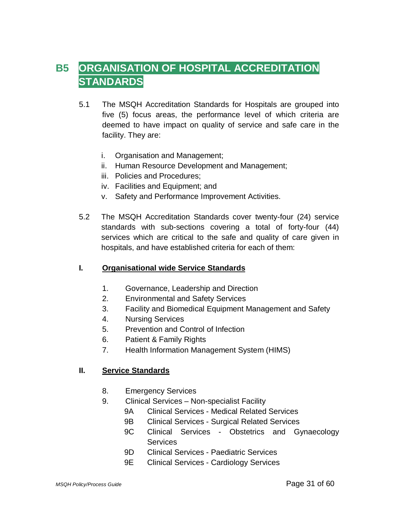# **B5 ORGANISATION OF HOSPITAL ACCREDITATION STANDARDS**

- 5.1 The MSQH Accreditation Standards for Hospitals are grouped into five (5) focus areas, the performance level of which criteria are deemed to have impact on quality of service and safe care in the facility. They are:
	- i. Organisation and Management;
	- ii. Human Resource Development and Management;
	- iii. Policies and Procedures;
	- iv. Facilities and Equipment; and
	- v. Safety and Performance Improvement Activities.
- 5.2 The MSQH Accreditation Standards cover twenty-four (24) service standards with sub-sections covering a total of forty-four (44) services which are critical to the safe and quality of care given in hospitals, and have established criteria for each of them:

#### **I. Organisational wide Service Standards**

- 1. Governance, Leadership and Direction
- 2. Environmental and Safety Services
- 3. Facility and Biomedical Equipment Management and Safety
- 4. Nursing Services
- 5. Prevention and Control of Infection
- 6. Patient & Family Rights
- 7. Health Information Management System (HIMS)

#### **II. Service Standards**

- 8. Emergency Services
- 9. Clinical Services Non-specialist Facility
	- 9A Clinical Services Medical Related Services
	- 9B Clinical Services Surgical Related Services
	- 9C Clinical Services Obstetrics and Gynaecology Services
	- 9D Clinical Services Paediatric Services
	- 9E Clinical Services Cardiology Services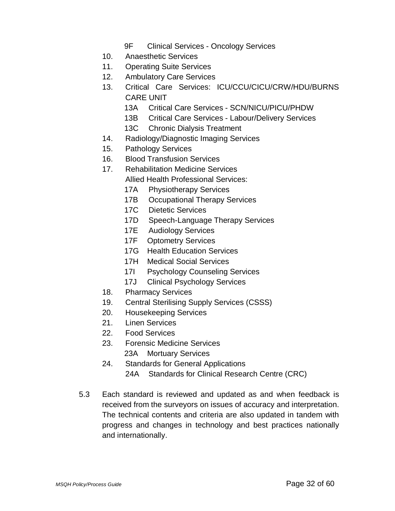- 9F Clinical Services Oncology Services
- 10. Anaesthetic Services
- 11. Operating Suite Services
- 12. Ambulatory Care Services
- 13. Critical Care Services: ICU/CCU/CICU/CRW/HDU/BURNS CARE UNIT
	- 13A Critical Care Services SCN/NICU/PICU/PHDW
	- 13B Critical Care Services Labour/Delivery Services
	- 13C Chronic Dialysis Treatment
- 14. Radiology/Diagnostic Imaging Services
- 15. Pathology Services
- 16. Blood Transfusion Services
- 17. Rehabilitation Medicine Services
	- Allied Health Professional Services:
	- 17A Physiotherapy Services
	- 17B Occupational Therapy Services
	- 17C Dietetic Services
	- 17D Speech-Language Therapy Services
	- 17E Audiology Services
	- 17F Optometry Services
	- 17G Health Education Services
	- 17H Medical Social Services
	- 17I Psychology Counseling Services
	- 17J Clinical Psychology Services
- 18. Pharmacy Services
- 19. Central Sterilising Supply Services (CSSS)
- 20. Housekeeping Services
- 21. Linen Services
- 22. Food Services
- 23. Forensic Medicine Services 23A Mortuary Services
- 24. Standards for General Applications 24A Standards for Clinical Research Centre (CRC)
- 5.3 Each standard is reviewed and updated as and when feedback is received from the surveyors on issues of accuracy and interpretation. The technical contents and criteria are also updated in tandem with progress and changes in technology and best practices nationally and internationally.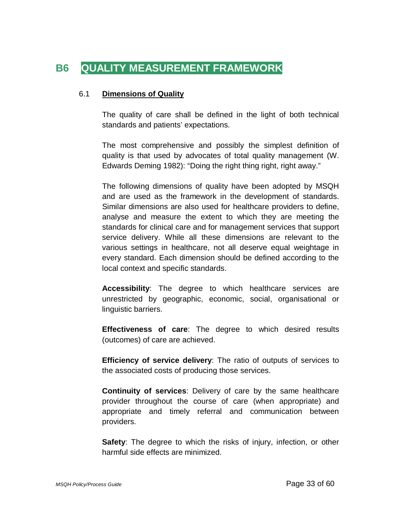# **B6 QUALITY MEASUREMENT FRAMEWORK**

#### 6.1 **Dimensions of Quality**

The quality of care shall be defined in the light of both technical standards and patients' expectations.

The most comprehensive and possibly the simplest definition of quality is that used by advocates of total quality management (W. Edwards Deming 1982): "Doing the right thing right, right away."

The following dimensions of quality have been adopted by MSQH and are used as the framework in the development of standards. Similar dimensions are also used for healthcare providers to define, analyse and measure the extent to which they are meeting the standards for clinical care and for management services that support service delivery. While all these dimensions are relevant to the various settings in healthcare, not all deserve equal weightage in every standard. Each dimension should be defined according to the local context and specific standards.

**Accessibility**: The degree to which healthcare services are unrestricted by geographic, economic, social, organisational or linguistic barriers.

**Effectiveness of care**: The degree to which desired results (outcomes) of care are achieved.

**Efficiency of service delivery**: The ratio of outputs of services to the associated costs of producing those services.

**Continuity of services**: Delivery of care by the same healthcare provider throughout the course of care (when appropriate) and appropriate and timely referral and communication between providers.

**Safety:** The degree to which the risks of injury, infection, or other harmful side effects are minimized.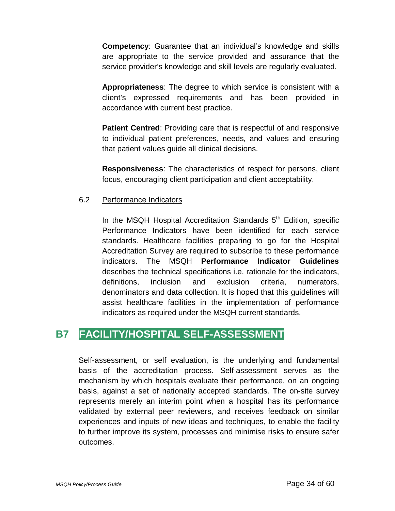**Competency**: Guarantee that an individual's knowledge and skills are appropriate to the service provided and assurance that the service provider's knowledge and skill levels are regularly evaluated.

**Appropriateness**: The degree to which service is consistent with a client's expressed requirements and has been provided in accordance with current best practice.

**Patient Centred:** Providing care that is respectful of and responsive to individual patient preferences, needs, and values and ensuring that patient values guide all clinical decisions.

**Responsiveness**: The characteristics of respect for persons, client focus, encouraging client participation and client acceptability.

#### 6.2 Performance Indicators

In the MSQH Hospital Accreditation Standards  $5<sup>th</sup>$  Edition, specific Performance Indicators have been identified for each service standards. Healthcare facilities preparing to go for the Hospital Accreditation Survey are required to subscribe to these performance indicators. The MSQH **Performance Indicator Guidelines** describes the technical specifications i.e. rationale for the indicators, definitions, inclusion and exclusion criteria, numerators, denominators and data collection. It is hoped that this guidelines will assist healthcare facilities in the implementation of performance indicators as required under the MSQH current standards.

## **B7 FACILITY/HOSPITAL SELF-ASSESSMENT**

Self-assessment, or self evaluation, is the underlying and fundamental basis of the accreditation process. Self-assessment serves as the mechanism by which hospitals evaluate their performance, on an ongoing basis, against a set of nationally accepted standards. The on-site survey represents merely an interim point when a hospital has its performance validated by external peer reviewers, and receives feedback on similar experiences and inputs of new ideas and techniques, to enable the facility to further improve its system, processes and minimise risks to ensure safer outcomes.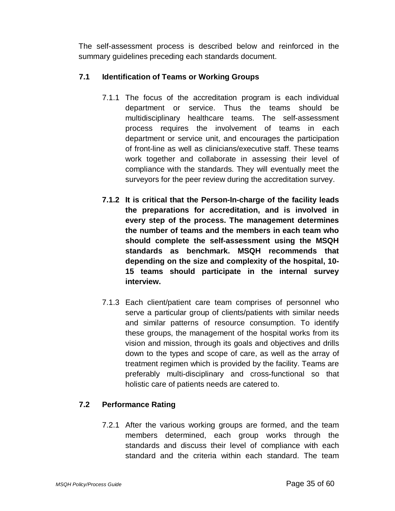The self-assessment process is described below and reinforced in the summary guidelines preceding each standards document.

#### **7.1 Identification of Teams or Working Groups**

- 7.1.1 The focus of the accreditation program is each individual department or service. Thus the teams should be multidisciplinary healthcare teams. The self-assessment process requires the involvement of teams in each department or service unit, and encourages the participation of front-line as well as clinicians/executive staff. These teams work together and collaborate in assessing their level of compliance with the standards. They will eventually meet the surveyors for the peer review during the accreditation survey.
- **7.1.2 It is critical that the Person-In-charge of the facility leads the preparations for accreditation, and is involved in every step of the process. The management determines the number of teams and the members in each team who should complete the self-assessment using the MSQH standards as benchmark. MSQH recommends that depending on the size and complexity of the hospital, 10- 15 teams should participate in the internal survey interview.**
- 7.1.3 Each client/patient care team comprises of personnel who serve a particular group of clients/patients with similar needs and similar patterns of resource consumption. To identify these groups, the management of the hospital works from its vision and mission, through its goals and objectives and drills down to the types and scope of care, as well as the array of treatment regimen which is provided by the facility. Teams are preferably multi-disciplinary and cross-functional so that holistic care of patients needs are catered to.

#### **7.2 Performance Rating**

7.2.1 After the various working groups are formed, and the team members determined, each group works through the standards and discuss their level of compliance with each standard and the criteria within each standard. The team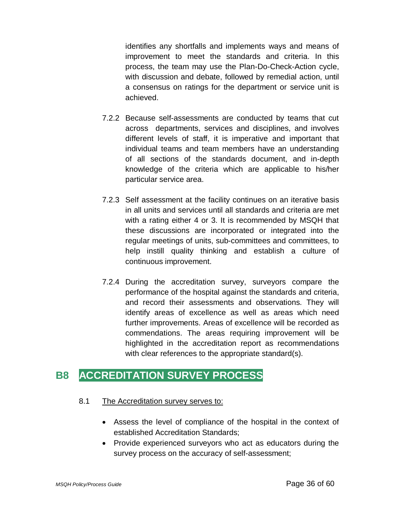identifies any shortfalls and implements ways and means of improvement to meet the standards and criteria. In this process, the team may use the Plan-Do-Check-Action cycle, with discussion and debate, followed by remedial action, until a consensus on ratings for the department or service unit is achieved.

- 7.2.2 Because self-assessments are conducted by teams that cut across departments, services and disciplines, and involves different levels of staff, it is imperative and important that individual teams and team members have an understanding of all sections of the standards document, and in-depth knowledge of the criteria which are applicable to his/her particular service area.
- 7.2.3 Self assessment at the facility continues on an iterative basis in all units and services until all standards and criteria are met with a rating either 4 or 3. It is recommended by MSQH that these discussions are incorporated or integrated into the regular meetings of units, sub-committees and committees, to help instill quality thinking and establish a culture of continuous improvement.
- 7.2.4 During the accreditation survey, surveyors compare the performance of the hospital against the standards and criteria, and record their assessments and observations. They will identify areas of excellence as well as areas which need further improvements. Areas of excellence will be recorded as commendations. The areas requiring improvement will be highlighted in the accreditation report as recommendations with clear references to the appropriate standard(s).

## **B8 ACCREDITATION SURVEY PROCESS**

#### 8.1 The Accreditation survey serves to:

- Assess the level of compliance of the hospital in the context of established Accreditation Standards;
- Provide experienced surveyors who act as educators during the survey process on the accuracy of self-assessment;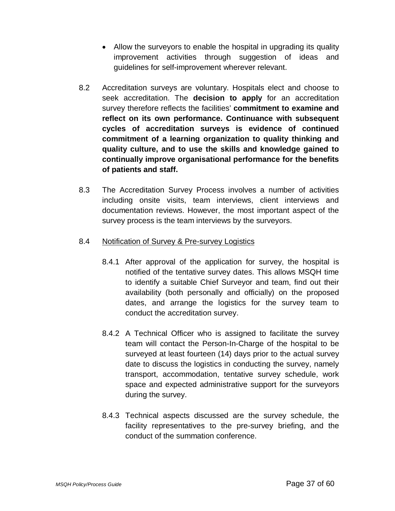- Allow the surveyors to enable the hospital in upgrading its quality improvement activities through suggestion of ideas and guidelines for self-improvement wherever relevant.
- 8.2 Accreditation surveys are voluntary. Hospitals elect and choose to seek accreditation. The **decision to apply** for an accreditation survey therefore reflects the facilities' **commitment to examine and reflect on its own performance. Continuance with subsequent cycles of accreditation surveys is evidence of continued commitment of a learning organization to quality thinking and quality culture, and to use the skills and knowledge gained to continually improve organisational performance for the benefits of patients and staff.**
- 8.3 The Accreditation Survey Process involves a number of activities including onsite visits, team interviews, client interviews and documentation reviews. However, the most important aspect of the survey process is the team interviews by the surveyors.

#### 8.4 Notification of Survey & Pre-survey Logistics

- 8.4.1 After approval of the application for survey, the hospital is notified of the tentative survey dates. This allows MSQH time to identify a suitable Chief Surveyor and team, find out their availability (both personally and officially) on the proposed dates, and arrange the logistics for the survey team to conduct the accreditation survey.
- 8.4.2 A Technical Officer who is assigned to facilitate the survey team will contact the Person-In-Charge of the hospital to be surveyed at least fourteen (14) days prior to the actual survey date to discuss the logistics in conducting the survey, namely transport, accommodation, tentative survey schedule, work space and expected administrative support for the surveyors during the survey.
- 8.4.3 Technical aspects discussed are the survey schedule, the facility representatives to the pre-survey briefing, and the conduct of the summation conference.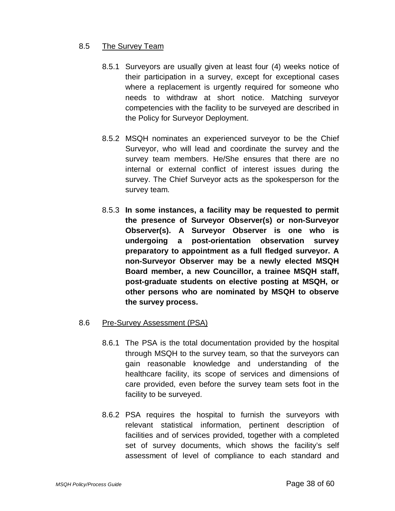#### 8.5 The Survey Team

- 8.5.1 Surveyors are usually given at least four (4) weeks notice of their participation in a survey, except for exceptional cases where a replacement is urgently required for someone who needs to withdraw at short notice. Matching surveyor competencies with the facility to be surveyed are described in the Policy for Surveyor Deployment.
- 8.5.2 MSQH nominates an experienced surveyor to be the Chief Surveyor, who will lead and coordinate the survey and the survey team members. He/She ensures that there are no internal or external conflict of interest issues during the survey. The Chief Surveyor acts as the spokesperson for the survey team.
- 8.5.3 **In some instances, a facility may be requested to permit the presence of Surveyor Observer(s) or non-Surveyor Observer(s). A Surveyor Observer is one who is undergoing a post-orientation observation survey preparatory to appointment as a full fledged surveyor. A non-Surveyor Observer may be a newly elected MSQH Board member, a new Councillor, a trainee MSQH staff, post-graduate students on elective posting at MSQH, or other persons who are nominated by MSQH to observe the survey process.**

#### 8.6 Pre-Survey Assessment (PSA)

- 8.6.1 The PSA is the total documentation provided by the hospital through MSQH to the survey team, so that the surveyors can gain reasonable knowledge and understanding of the healthcare facility, its scope of services and dimensions of care provided, even before the survey team sets foot in the facility to be surveyed.
- 8.6.2 PSA requires the hospital to furnish the surveyors with relevant statistical information, pertinent description of facilities and of services provided, together with a completed set of survey documents, which shows the facility's self assessment of level of compliance to each standard and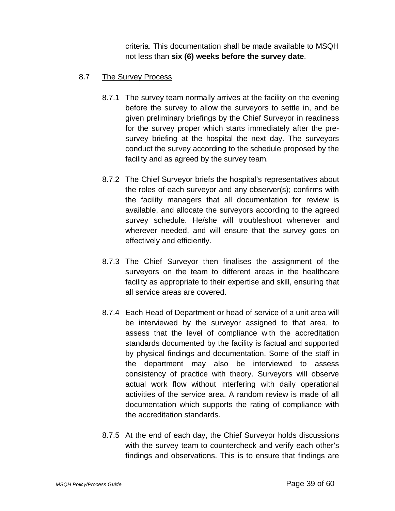criteria. This documentation shall be made available to MSQH not less than **six (6) weeks before the survey date**.

#### 8.7 The Survey Process

- 8.7.1 The survey team normally arrives at the facility on the evening before the survey to allow the surveyors to settle in, and be given preliminary briefings by the Chief Surveyor in readiness for the survey proper which starts immediately after the presurvey briefing at the hospital the next day. The surveyors conduct the survey according to the schedule proposed by the facility and as agreed by the survey team.
- 8.7.2 The Chief Surveyor briefs the hospital's representatives about the roles of each surveyor and any observer(s); confirms with the facility managers that all documentation for review is available, and allocate the surveyors according to the agreed survey schedule. He/she will troubleshoot whenever and wherever needed, and will ensure that the survey goes on effectively and efficiently.
- 8.7.3 The Chief Surveyor then finalises the assignment of the surveyors on the team to different areas in the healthcare facility as appropriate to their expertise and skill, ensuring that all service areas are covered.
- 8.7.4 Each Head of Department or head of service of a unit area will be interviewed by the surveyor assigned to that area, to assess that the level of compliance with the accreditation standards documented by the facility is factual and supported by physical findings and documentation. Some of the staff in the department may also be interviewed to assess consistency of practice with theory. Surveyors will observe actual work flow without interfering with daily operational activities of the service area. A random review is made of all documentation which supports the rating of compliance with the accreditation standards.
- 8.7.5 At the end of each day, the Chief Surveyor holds discussions with the survey team to countercheck and verify each other's findings and observations. This is to ensure that findings are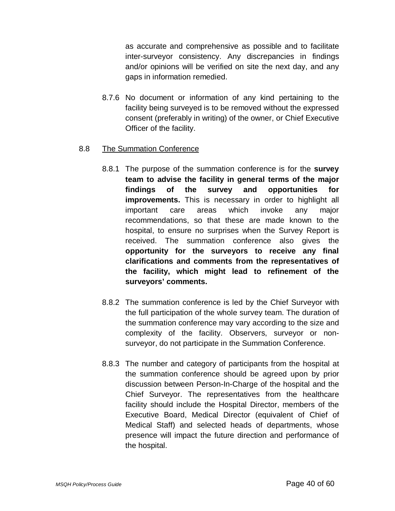as accurate and comprehensive as possible and to facilitate inter-surveyor consistency. Any discrepancies in findings and/or opinions will be verified on site the next day, and any gaps in information remedied.

8.7.6 No document or information of any kind pertaining to the facility being surveyed is to be removed without the expressed consent (preferably in writing) of the owner, or Chief Executive Officer of the facility.

#### 8.8 The Summation Conference

- 8.8.1 The purpose of the summation conference is for the **survey team to advise the facility in general terms of the major findings of the survey and opportunities for improvements.** This is necessary in order to highlight all important care areas which invoke any major recommendations, so that these are made known to the hospital, to ensure no surprises when the Survey Report is received. The summation conference also gives the **opportunity for the surveyors to receive any final clarifications and comments from the representatives of the facility, which might lead to refinement of the surveyors' comments.**
- 8.8.2 The summation conference is led by the Chief Surveyor with the full participation of the whole survey team. The duration of the summation conference may vary according to the size and complexity of the facility. Observers, surveyor or nonsurveyor, do not participate in the Summation Conference.
- 8.8.3 The number and category of participants from the hospital at the summation conference should be agreed upon by prior discussion between Person-In-Charge of the hospital and the Chief Surveyor. The representatives from the healthcare facility should include the Hospital Director, members of the Executive Board, Medical Director (equivalent of Chief of Medical Staff) and selected heads of departments, whose presence will impact the future direction and performance of the hospital.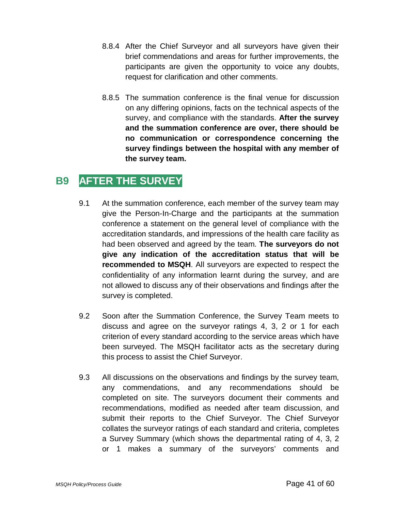- 8.8.4 After the Chief Surveyor and all surveyors have given their brief commendations and areas for further improvements, the participants are given the opportunity to voice any doubts, request for clarification and other comments.
- 8.8.5 The summation conference is the final venue for discussion on any differing opinions, facts on the technical aspects of the survey, and compliance with the standards. **After the survey and the summation conference are over, there should be no communication or correspondence concerning the survey findings between the hospital with any member of the survey team.**

## **B9 AFTER THE SURVEY**

- 9.1 At the summation conference, each member of the survey team may give the Person-In-Charge and the participants at the summation conference a statement on the general level of compliance with the accreditation standards, and impressions of the health care facility as had been observed and agreed by the team. **The surveyors do not give any indication of the accreditation status that will be recommended to MSQH**. All surveyors are expected to respect the confidentiality of any information learnt during the survey, and are not allowed to discuss any of their observations and findings after the survey is completed.
- 9.2 Soon after the Summation Conference, the Survey Team meets to discuss and agree on the surveyor ratings 4, 3, 2 or 1 for each criterion of every standard according to the service areas which have been surveyed. The MSQH facilitator acts as the secretary during this process to assist the Chief Surveyor.
- 9.3 All discussions on the observations and findings by the survey team, any commendations, and any recommendations should be completed on site. The surveyors document their comments and recommendations, modified as needed after team discussion, and submit their reports to the Chief Surveyor. The Chief Surveyor collates the surveyor ratings of each standard and criteria, completes a Survey Summary (which shows the departmental rating of 4, 3, 2 or 1 makes a summary of the surveyors' comments and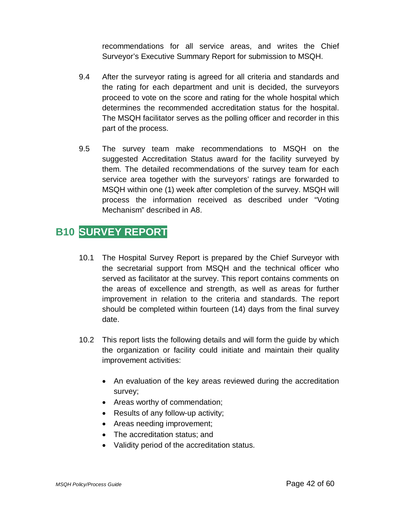recommendations for all service areas, and writes the Chief Surveyor's Executive Summary Report for submission to MSQH.

- 9.4 After the surveyor rating is agreed for all criteria and standards and the rating for each department and unit is decided, the surveyors proceed to vote on the score and rating for the whole hospital which determines the recommended accreditation status for the hospital. The MSQH facilitator serves as the polling officer and recorder in this part of the process.
- 9.5 The survey team make recommendations to MSQH on the suggested Accreditation Status award for the facility surveyed by them. The detailed recommendations of the survey team for each service area together with the surveyors' ratings are forwarded to MSQH within one (1) week after completion of the survey. MSQH will process the information received as described under "Voting Mechanism" described in A8.

## **B10 SURVEY REPORT**

- 10.1 The Hospital Survey Report is prepared by the Chief Surveyor with the secretarial support from MSQH and the technical officer who served as facilitator at the survey. This report contains comments on the areas of excellence and strength, as well as areas for further improvement in relation to the criteria and standards. The report should be completed within fourteen (14) days from the final survey date.
- 10.2 This report lists the following details and will form the guide by which the organization or facility could initiate and maintain their quality improvement activities:
	- An evaluation of the key areas reviewed during the accreditation survey;
	- Areas worthy of commendation;
	- Results of any follow-up activity;
	- Areas needing improvement;
	- The accreditation status: and
	- Validity period of the accreditation status.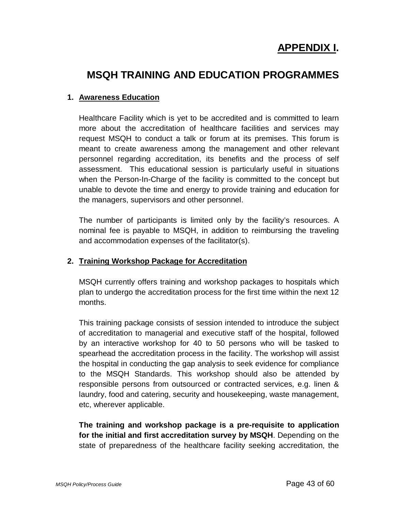# **APPENDIX I.**

## **MSQH TRAINING AND EDUCATION PROGRAMMES**

#### **1. Awareness Education**

Healthcare Facility which is yet to be accredited and is committed to learn more about the accreditation of healthcare facilities and services may request MSQH to conduct a talk or forum at its premises. This forum is meant to create awareness among the management and other relevant personnel regarding accreditation, its benefits and the process of self assessment. This educational session is particularly useful in situations when the Person-In-Charge of the facility is committed to the concept but unable to devote the time and energy to provide training and education for the managers, supervisors and other personnel.

The number of participants is limited only by the facility's resources. A nominal fee is payable to MSQH, in addition to reimbursing the traveling and accommodation expenses of the facilitator(s).

#### **2. Training Workshop Package for Accreditation**

MSQH currently offers training and workshop packages to hospitals which plan to undergo the accreditation process for the first time within the next 12 months.

This training package consists of session intended to introduce the subject of accreditation to managerial and executive staff of the hospital, followed by an interactive workshop for 40 to 50 persons who will be tasked to spearhead the accreditation process in the facility. The workshop will assist the hospital in conducting the gap analysis to seek evidence for compliance to the MSQH Standards. This workshop should also be attended by responsible persons from outsourced or contracted services, e.g. linen & laundry, food and catering, security and housekeeping, waste management, etc, wherever applicable.

**The training and workshop package is a pre-requisite to application for the initial and first accreditation survey by MSQH**. Depending on the state of preparedness of the healthcare facility seeking accreditation, the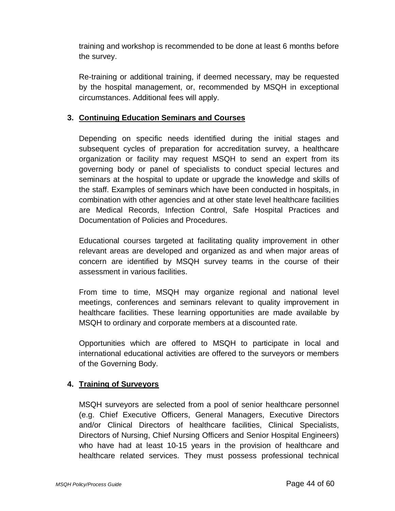training and workshop is recommended to be done at least 6 months before the survey.

Re-training or additional training, if deemed necessary, may be requested by the hospital management, or, recommended by MSQH in exceptional circumstances. Additional fees will apply.

#### **3. Continuing Education Seminars and Courses**

Depending on specific needs identified during the initial stages and subsequent cycles of preparation for accreditation survey, a healthcare organization or facility may request MSQH to send an expert from its governing body or panel of specialists to conduct special lectures and seminars at the hospital to update or upgrade the knowledge and skills of the staff. Examples of seminars which have been conducted in hospitals, in combination with other agencies and at other state level healthcare facilities are Medical Records, Infection Control, Safe Hospital Practices and Documentation of Policies and Procedures.

Educational courses targeted at facilitating quality improvement in other relevant areas are developed and organized as and when major areas of concern are identified by MSQH survey teams in the course of their assessment in various facilities.

From time to time, MSQH may organize regional and national level meetings, conferences and seminars relevant to quality improvement in healthcare facilities. These learning opportunities are made available by MSQH to ordinary and corporate members at a discounted rate.

Opportunities which are offered to MSQH to participate in local and international educational activities are offered to the surveyors or members of the Governing Body.

#### **4. Training of Surveyors**

MSQH surveyors are selected from a pool of senior healthcare personnel (e.g. Chief Executive Officers, General Managers, Executive Directors and/or Clinical Directors of healthcare facilities, Clinical Specialists, Directors of Nursing, Chief Nursing Officers and Senior Hospital Engineers) who have had at least 10-15 years in the provision of healthcare and healthcare related services. They must possess professional technical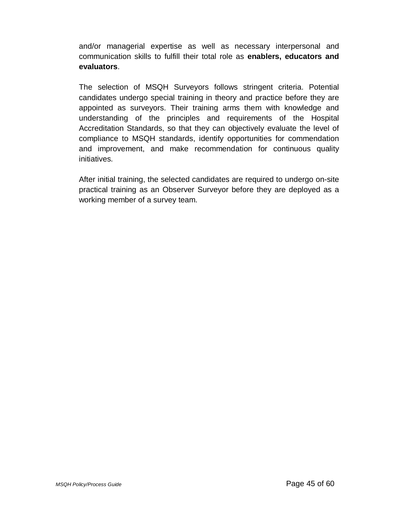and/or managerial expertise as well as necessary interpersonal and communication skills to fulfill their total role as **enablers, educators and evaluators**.

The selection of MSQH Surveyors follows stringent criteria. Potential candidates undergo special training in theory and practice before they are appointed as surveyors. Their training arms them with knowledge and understanding of the principles and requirements of the Hospital Accreditation Standards, so that they can objectively evaluate the level of compliance to MSQH standards, identify opportunities for commendation and improvement, and make recommendation for continuous quality initiatives.

After initial training, the selected candidates are required to undergo on-site practical training as an Observer Surveyor before they are deployed as a working member of a survey team.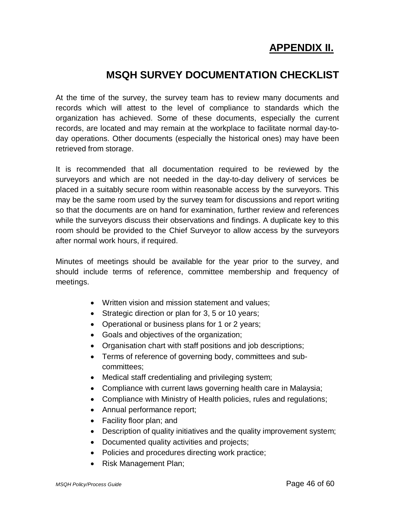# **APPENDIX II.**

## **MSQH SURVEY DOCUMENTATION CHECKLIST**

At the time of the survey, the survey team has to review many documents and records which will attest to the level of compliance to standards which the organization has achieved. Some of these documents, especially the current records, are located and may remain at the workplace to facilitate normal day-today operations. Other documents (especially the historical ones) may have been retrieved from storage.

It is recommended that all documentation required to be reviewed by the surveyors and which are not needed in the day-to-day delivery of services be placed in a suitably secure room within reasonable access by the surveyors. This may be the same room used by the survey team for discussions and report writing so that the documents are on hand for examination, further review and references while the surveyors discuss their observations and findings. A duplicate key to this room should be provided to the Chief Surveyor to allow access by the surveyors after normal work hours, if required.

Minutes of meetings should be available for the year prior to the survey, and should include terms of reference, committee membership and frequency of meetings.

- Written vision and mission statement and values;
- Strategic direction or plan for 3, 5 or 10 years;
- Operational or business plans for 1 or 2 years;
- Goals and objectives of the organization;
- Organisation chart with staff positions and job descriptions;
- Terms of reference of governing body, committees and subcommittees;
- Medical staff credentialing and privileging system;
- Compliance with current laws governing health care in Malaysia;
- Compliance with Ministry of Health policies, rules and regulations;
- Annual performance report;
- Facility floor plan; and
- Description of quality initiatives and the quality improvement system;
- Documented quality activities and projects;
- Policies and procedures directing work practice;
- Risk Management Plan;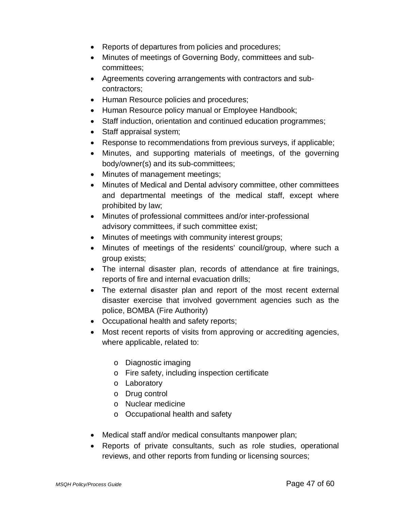- Reports of departures from policies and procedures;
- Minutes of meetings of Governing Body, committees and subcommittees;
- Agreements covering arrangements with contractors and subcontractors;
- Human Resource policies and procedures;
- Human Resource policy manual or Employee Handbook;
- Staff induction, orientation and continued education programmes;
- Staff appraisal system;
- Response to recommendations from previous surveys, if applicable;
- Minutes, and supporting materials of meetings, of the governing body/owner(s) and its sub-committees;
- Minutes of management meetings;
- Minutes of Medical and Dental advisory committee, other committees and departmental meetings of the medical staff, except where prohibited by law;
- Minutes of professional committees and/or inter-professional advisory committees, if such committee exist;
- Minutes of meetings with community interest groups;
- Minutes of meetings of the residents' council/group, where such a group exists;
- The internal disaster plan, records of attendance at fire trainings, reports of fire and internal evacuation drills;
- The external disaster plan and report of the most recent external disaster exercise that involved government agencies such as the police, BOMBA (Fire Authority)
- Occupational health and safety reports;
- Most recent reports of visits from approving or accrediting agencies, where applicable, related to:
	- o Diagnostic imaging
	- o Fire safety, including inspection certificate
	- o Laboratory
	- o Drug control
	- o Nuclear medicine
	- o Occupational health and safety
- Medical staff and/or medical consultants manpower plan;
- Reports of private consultants, such as role studies, operational reviews, and other reports from funding or licensing sources;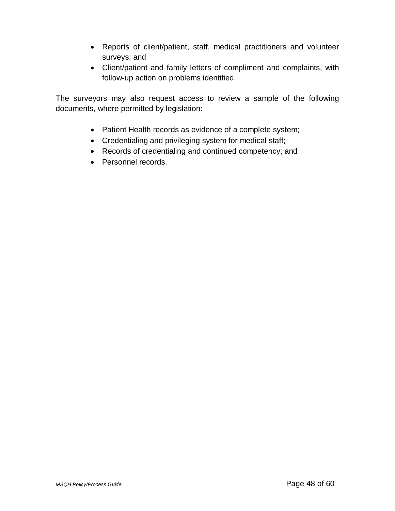- Reports of client/patient, staff, medical practitioners and volunteer surveys; and
- Client/patient and family letters of compliment and complaints, with follow-up action on problems identified.

The surveyors may also request access to review a sample of the following documents, where permitted by legislation:

- Patient Health records as evidence of a complete system;
- Credentialing and privileging system for medical staff;
- Records of credentialing and continued competency; and
- Personnel records.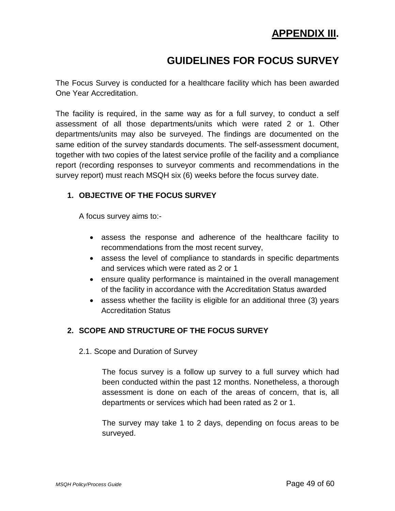## **APPENDIX III.**

## **GUIDELINES FOR FOCUS SURVEY**

The Focus Survey is conducted for a healthcare facility which has been awarded One Year Accreditation.

The facility is required, in the same way as for a full survey, to conduct a self assessment of all those departments/units which were rated 2 or 1. Other departments/units may also be surveyed. The findings are documented on the same edition of the survey standards documents. The self-assessment document, together with two copies of the latest service profile of the facility and a compliance report (recording responses to surveyor comments and recommendations in the survey report) must reach MSQH six (6) weeks before the focus survey date.

#### **1. OBJECTIVE OF THE FOCUS SURVEY**

A focus survey aims to:-

- assess the response and adherence of the healthcare facility to recommendations from the most recent survey,
- assess the level of compliance to standards in specific departments and services which were rated as 2 or 1
- ensure quality performance is maintained in the overall management of the facility in accordance with the Accreditation Status awarded
- assess whether the facility is eligible for an additional three (3) years Accreditation Status

#### **2. SCOPE AND STRUCTURE OF THE FOCUS SURVEY**

2.1. Scope and Duration of Survey

The focus survey is a follow up survey to a full survey which had been conducted within the past 12 months. Nonetheless, a thorough assessment is done on each of the areas of concern, that is, all departments or services which had been rated as 2 or 1.

The survey may take 1 to 2 days, depending on focus areas to be surveyed.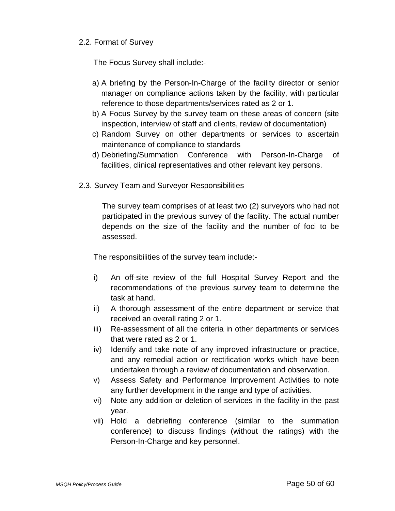#### 2.2. Format of Survey

The Focus Survey shall include:-

- a) A briefing by the Person-In-Charge of the facility director or senior manager on compliance actions taken by the facility, with particular reference to those departments/services rated as 2 or 1.
- b) A Focus Survey by the survey team on these areas of concern (site inspection, interview of staff and clients, review of documentation)
- c) Random Survey on other departments or services to ascertain maintenance of compliance to standards
- d) Debriefing/Summation Conference with Person-In-Charge of facilities, clinical representatives and other relevant key persons.
- 2.3. Survey Team and Surveyor Responsibilities

The survey team comprises of at least two (2) surveyors who had not participated in the previous survey of the facility. The actual number depends on the size of the facility and the number of foci to be assessed.

The responsibilities of the survey team include:-

- i) An off-site review of the full Hospital Survey Report and the recommendations of the previous survey team to determine the task at hand.
- ii) A thorough assessment of the entire department or service that received an overall rating 2 or 1.
- iii) Re-assessment of all the criteria in other departments or services that were rated as 2 or 1.
- iv) Identify and take note of any improved infrastructure or practice, and any remedial action or rectification works which have been undertaken through a review of documentation and observation.
- v) Assess Safety and Performance Improvement Activities to note any further development in the range and type of activities.
- vi) Note any addition or deletion of services in the facility in the past year.
- vii) Hold a debriefing conference (similar to the summation conference) to discuss findings (without the ratings) with the Person-In-Charge and key personnel.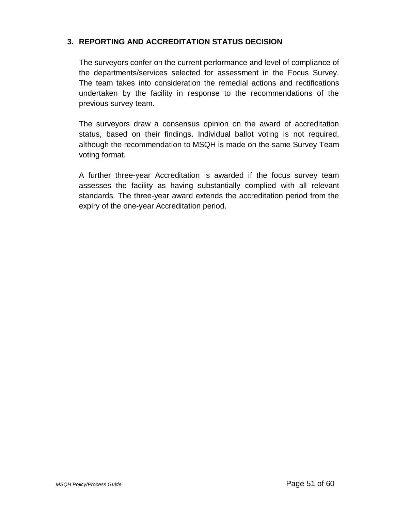#### **3. REPORTING AND ACCREDITATION STATUS DECISION**

The surveyors confer on the current performance and level of compliance of the departments/services selected for assessment in the Focus Survey. The team takes into consideration the remedial actions and rectifications undertaken by the facility in response to the recommendations of the previous survey team.

The surveyors draw a consensus opinion on the award of accreditation status, based on their findings. Individual ballot voting is not required, although the recommendation to MSQH is made on the same Survey Team voting format.

A further three-year Accreditation is awarded if the focus survey team assesses the facility as having substantially complied with all relevant standards. The three-year award extends the accreditation period from the expiry of the one-year Accreditation period.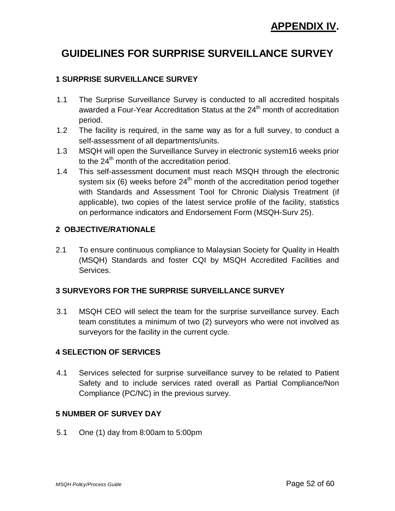# **APPENDIX IV.**

## **GUIDELINES FOR SURPRISE SURVEILLANCE SURVEY**

#### **1 SURPRISE SURVEILLANCE SURVEY**

- 1.1 The Surprise Surveillance Survey is conducted to all accredited hospitals awarded a Four-Year Accreditation Status at the  $24<sup>th</sup>$  month of accreditation period.
- 1.2 The facility is required, in the same way as for a full survey, to conduct a self-assessment of all departments/units.
- 1.3 MSQH will open the Surveillance Survey in electronic system16 weeks prior to the  $24<sup>th</sup>$  month of the accreditation period.
- 1.4 This self-assessment document must reach MSQH through the electronic system six (6) weeks before  $24<sup>th</sup>$  month of the accreditation period together with Standards and Assessment Tool for Chronic Dialysis Treatment (if applicable), two copies of the latest service profile of the facility, statistics on performance indicators and Endorsement Form (MSQH-Surv 25).

#### **2 OBJECTIVE/RATIONALE**

2.1 To ensure continuous compliance to Malaysian Society for Quality in Health (MSQH) Standards and foster CQI by MSQH Accredited Facilities and Services.

#### **3 SURVEYORS FOR THE SURPRISE SURVEILLANCE SURVEY**

3.1 MSQH CEO will select the team for the surprise surveillance survey. Each team constitutes a minimum of two (2) surveyors who were not involved as surveyors for the facility in the current cycle.

#### **4 SELECTION OF SERVICES**

4.1 Services selected for surprise surveillance survey to be related to Patient Safety and to include services rated overall as Partial Compliance/Non Compliance (PC/NC) in the previous survey.

#### **5 NUMBER OF SURVEY DAY**

5.1 One (1) day from 8:00am to 5:00pm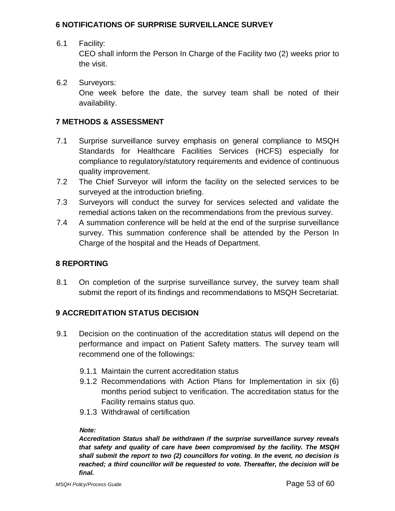#### **6 NOTIFICATIONS OF SURPRISE SURVEILLANCE SURVEY**

6.1 Facility:

CEO shall inform the Person In Charge of the Facility two (2) weeks prior to the visit.

6.2 Surveyors: One week before the date, the survey team shall be noted of their availability.

#### **7 METHODS & ASSESSMENT**

- 7.1 Surprise surveillance survey emphasis on general compliance to MSQH Standards for Healthcare Facilities Services (HCFS) especially for compliance to regulatory/statutory requirements and evidence of continuous quality improvement.
- 7.2 The Chief Surveyor will inform the facility on the selected services to be surveyed at the introduction briefing.
- 7.3 Surveyors will conduct the survey for services selected and validate the remedial actions taken on the recommendations from the previous survey.
- 7.4 A summation conference will be held at the end of the surprise surveillance survey. This summation conference shall be attended by the Person In Charge of the hospital and the Heads of Department.

#### **8 REPORTING**

8.1 On completion of the surprise surveillance survey, the survey team shall submit the report of its findings and recommendations to MSQH Secretariat.

#### **9 ACCREDITATION STATUS DECISION**

- 9.1 Decision on the continuation of the accreditation status will depend on the performance and impact on Patient Safety matters. The survey team will recommend one of the followings:
	- 9.1.1 Maintain the current accreditation status
	- 9.1.2 Recommendations with Action Plans for Implementation in six (6) months period subject to verification. The accreditation status for the Facility remains status quo.
	- 9.1.3 Withdrawal of certification

#### *Note:*

*Accreditation Status shall be withdrawn if the surprise surveillance survey reveals that safety and quality of care have been compromised by the facility. The MSQH shall submit the report to two (2) councillors for voting. In the event, no decision is reached; a third councillor will be requested to vote. Thereafter, the decision will be final.*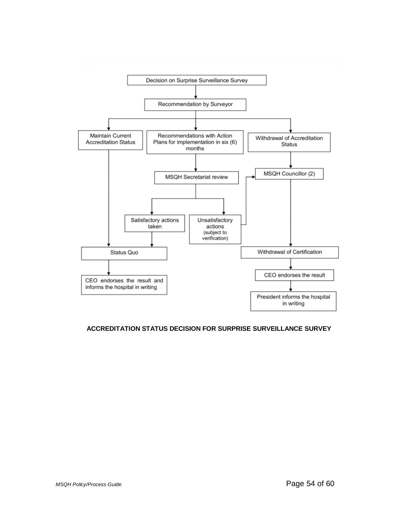

#### **ACCREDITATION STATUS DECISION FOR SURPRISE SURVEILLANCE SURVEY**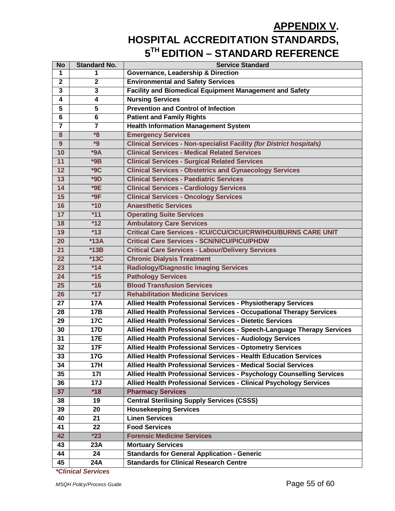# **APPENDIX V. HOSPITAL ACCREDITATION STANDARDS, 5TH EDITION – STANDARD REFERENCE**

| <b>No</b>      | <b>Standard No.</b> | <b>Service Standard</b>                                                     |
|----------------|---------------------|-----------------------------------------------------------------------------|
| 1              | 1                   | <b>Governance, Leadership &amp; Direction</b>                               |
| $\mathbf{2}$   | $\mathbf{2}$        | <b>Environmental and Safety Services</b>                                    |
| 3              | 3                   | <b>Facility and Biomedical Equipment Management and Safety</b>              |
| 4              | 4                   | <b>Nursing Services</b>                                                     |
| 5              | 5                   | <b>Prevention and Control of Infection</b>                                  |
| 6              | 6                   | <b>Patient and Family Rights</b>                                            |
| $\overline{7}$ | $\overline{7}$      | <b>Health Information Management System</b>                                 |
| 8              | $*8$                | <b>Emergency Services</b>                                                   |
| 9              | $*9$                | <b>Clinical Services - Non-specialist Facility (for District hospitals)</b> |
| 10             | $*9A$               | <b>Clinical Services - Medical Related Services</b>                         |
| 11             | $*9B$               | <b>Clinical Services - Surgical Related Services</b>                        |
| 12             | $*9C$               | <b>Clinical Services - Obstetrics and Gynaecology Services</b>              |
| 13             | $*9D$               | <b>Clinical Services - Paediatric Services</b>                              |
| 14             | $*9E$               | <b>Clinical Services - Cardiology Services</b>                              |
| 15             | $*9F$               | <b>Clinical Services - Oncology Services</b>                                |
| 16             | $*10$               | <b>Anaesthetic Services</b>                                                 |
| 17             | $*11$               | <b>Operating Suite Services</b>                                             |
| 18             | $*12$               | <b>Ambulatory Care Services</b>                                             |
| 19             | $*13$               | <b>Critical Care Services - ICU/CCU/CICU/CRW/HDU/BURNS CARE UNIT</b>        |
| 20             | $*13A$              | <b>Critical Care Services - SCN/NICU/PICU/PHDW</b>                          |
| 21             | $*13B$              | <b>Critical Care Services - Labour/Delivery Services</b>                    |
| 22             | <b>*13C</b>         | <b>Chronic Dialysis Treatment</b>                                           |
| 23             | $*14$               | <b>Radiology/Diagnostic Imaging Services</b>                                |
| 24             | $*15$               | <b>Pathology Services</b>                                                   |
| 25             | $*16$               | <b>Blood Transfusion Services</b>                                           |
| 26             | $*17$               | <b>Rehabilitation Medicine Services</b>                                     |
| 27             | <b>17A</b>          | Allied Health Professional Services - Physiotherapy Services                |
| 28             | <b>17B</b>          | Allied Health Professional Services - Occupational Therapy Services         |
| 29             | <b>17C</b>          | <b>Allied Health Professional Services - Dietetic Services</b>              |
| 30             | <b>17D</b>          | Allied Health Professional Services - Speech-Language Therapy Services      |
| 31             | 17E                 | <b>Allied Health Professional Services - Audiology Services</b>             |
| 32             | 17F                 | Allied Health Professional Services - Optometry Services                    |
| 33             | <b>17G</b>          | Allied Health Professional Services - Health Education Services             |
| 34             | <b>17H</b>          | Allied Health Professional Services - Medical Social Services               |
| 35             | <b>171</b>          | Allied Health Professional Services - Psychology Counselling Services       |
| 36             | 17J                 | Allied Health Professional Services - Clinical Psychology Services          |
| 37             | $*18$               | <b>Pharmacy Services</b>                                                    |
| 38             | 19                  | <b>Central Sterilising Supply Services (CSSS)</b>                           |
| 39             | 20                  | <b>Housekeeping Services</b>                                                |
| 40             | 21                  | <b>Linen Services</b>                                                       |
| 41             | 22                  | <b>Food Services</b>                                                        |
| 42             | $*23$               | <b>Forensic Medicine Services</b>                                           |
| 43             | 23A                 | <b>Mortuary Services</b>                                                    |
| 44             | 24                  | <b>Standards for General Application - Generic</b>                          |
| 45             | 24A                 | <b>Standards for Clinical Research Centre</b>                               |

*\*Clinical Services*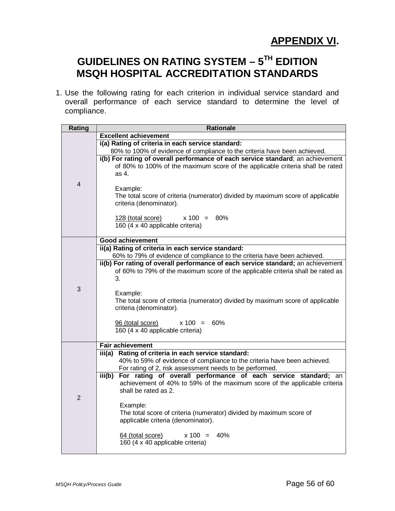## **APPENDIX VI.**

# **GUIDELINES ON RATING SYSTEM – 5TH EDITION MSQH HOSPITAL ACCREDITATION STANDARDS**

1. Use the following rating for each criterion in individual service standard and overall performance of each service standard to determine the level of compliance.

| Rating         | <b>Rationale</b>                                                                                                                   |
|----------------|------------------------------------------------------------------------------------------------------------------------------------|
|                | <b>Excellent achievement</b>                                                                                                       |
|                | i(a) Rating of criteria in each service standard:                                                                                  |
|                | 80% to 100% of evidence of compliance to the criteria have been achieved.                                                          |
|                | i(b) For rating of overall performance of each service standard; an achievement                                                    |
|                | of 80% to 100% of the maximum score of the applicable criteria shall be rated                                                      |
|                | as 4.                                                                                                                              |
| $\overline{4}$ | Example:                                                                                                                           |
|                | The total score of criteria (numerator) divided by maximum score of applicable                                                     |
|                | criteria (denominator).                                                                                                            |
|                |                                                                                                                                    |
|                | $x 100 = 80\%$<br>128 (total score)                                                                                                |
|                | 160 (4 x 40 applicable criteria)                                                                                                   |
|                |                                                                                                                                    |
|                | <b>Good achievement</b><br>ii(a) Rating of criteria in each service standard:                                                      |
|                | 60% to 79% of evidence of compliance to the criteria have been achieved.                                                           |
|                | ii(b) For rating of overall performance of each service standard; an achievement                                                   |
|                | of 60% to 79% of the maximum score of the applicable criteria shall be rated as                                                    |
|                | 3.                                                                                                                                 |
| 3              |                                                                                                                                    |
|                | Example:                                                                                                                           |
|                | The total score of criteria (numerator) divided by maximum score of applicable<br>criteria (denominator).                          |
|                |                                                                                                                                    |
|                | 96 (total score)<br>$x 100 = 60\%$                                                                                                 |
|                | 160 (4 x 40 applicable criteria)                                                                                                   |
|                |                                                                                                                                    |
|                | <b>Fair achievement</b>                                                                                                            |
|                | Rating of criteria in each service standard:<br>iii(a)<br>40% to 59% of evidence of compliance to the criteria have been achieved. |
|                | For rating of 2, risk assessment needs to be performed.                                                                            |
|                | For rating of overall performance of each service standard; an<br>iii(b)                                                           |
| $\overline{2}$ | achievement of 40% to 59% of the maximum score of the applicable criteria                                                          |
|                | shall be rated as 2.                                                                                                               |
|                |                                                                                                                                    |
|                | Example:                                                                                                                           |
|                | The total score of criteria (numerator) divided by maximum score of<br>applicable criteria (denominator).                          |
|                |                                                                                                                                    |
|                | $x 100 = 40\%$<br>64 (total score)                                                                                                 |
|                | 160 (4 x 40 applicable criteria)                                                                                                   |
|                |                                                                                                                                    |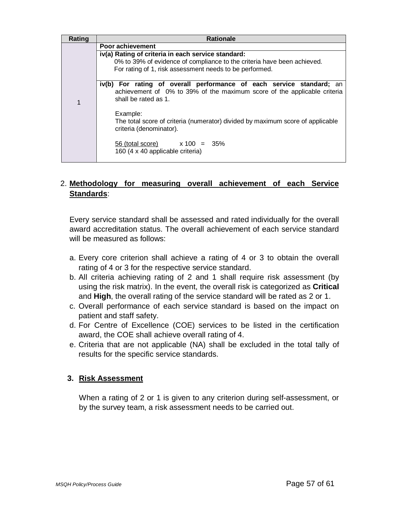| Rating | <b>Rationale</b>                                                                                 |  |
|--------|--------------------------------------------------------------------------------------------------|--|
|        | Poor achievement                                                                                 |  |
|        | iv(a) Rating of criteria in each service standard:                                               |  |
|        | 0% to 39% of evidence of compliance to the criteria have been achieved.                          |  |
|        | For rating of 1, risk assessment needs to be performed.                                          |  |
|        |                                                                                                  |  |
|        | iv(b) For rating of overall performance of each service standard; an                             |  |
|        | achievement of 0% to 39% of the maximum score of the applicable criteria<br>shall be rated as 1. |  |
| 1      |                                                                                                  |  |
|        | Example:                                                                                         |  |
|        | The total score of criteria (numerator) divided by maximum score of applicable                   |  |
|        | criteria (denominator).                                                                          |  |
|        |                                                                                                  |  |
|        | $\frac{56 \text{ (total score)}}{20}$ x 100 = 35%                                                |  |
|        | 160 (4 x 40 applicable criteria)                                                                 |  |
|        |                                                                                                  |  |

#### 2. **Methodology for measuring overall achievement of each Service Standards**:

Every service standard shall be assessed and rated individually for the overall award accreditation status. The overall achievement of each service standard will be measured as follows:

- a. Every core criterion shall achieve a rating of 4 or 3 to obtain the overall rating of 4 or 3 for the respective service standard.
- b. All criteria achieving rating of 2 and 1 shall require risk assessment (by using the risk matrix). In the event, the overall risk is categorized as **Critical** and **High**, the overall rating of the service standard will be rated as 2 or 1.
- c. Overall performance of each service standard is based on the impact on patient and staff safety.
- d. For Centre of Excellence (COE) services to be listed in the certification award, the COE shall achieve overall rating of 4.
- e. Criteria that are not applicable (NA) shall be excluded in the total tally of results for the specific service standards.

#### **3. Risk Assessment**

When a rating of 2 or 1 is given to any criterion during self-assessment, or by the survey team, a risk assessment needs to be carried out.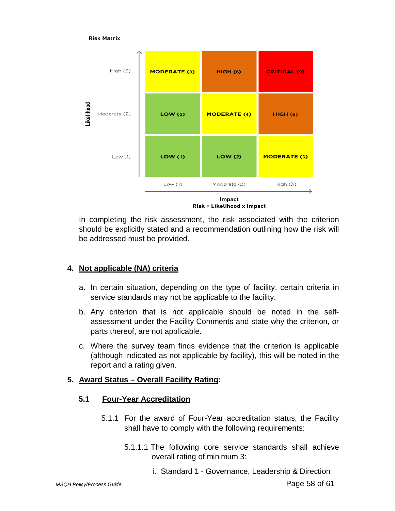

In completing the risk assessment, the risk associated with the criterion should be explicitly stated and a recommendation outlining how the risk will be addressed must be provided.

#### **4. Not applicable (NA) criteria**

- a. In certain situation, depending on the type of facility, certain criteria in service standards may not be applicable to the facility.
- b. Any criterion that is not applicable should be noted in the selfassessment under the Facility Comments and state why the criterion, or parts thereof, are not applicable.
- c. Where the survey team finds evidence that the criterion is applicable (although indicated as not applicable by facility), this will be noted in the report and a rating given.

#### **5. Award Status – Overall Facility Rating:**

#### **5.1 Four-Year Accreditation**

- 5.1.1 For the award of Four-Year accreditation status, the Facility shall have to comply with the following requirements:
	- 5.1.1.1 The following core service standards shall achieve overall rating of minimum 3:
		- i. Standard 1 Governance, Leadership & Direction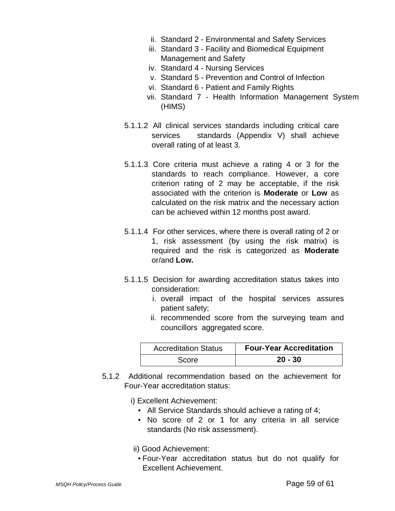- ii. Standard 2 Environmental and Safety Services
- iii. Standard 3 Facility and Biomedical Equipment Management and Safety
- iv. Standard 4 Nursing Services
- v. Standard 5 Prevention and Control of Infection
- vi. Standard 6 Patient and Family Rights
- vii. Standard 7 Health Information Management System (HIMS)
- 5.1.1.2 All clinical services standards including critical care services standards (Appendix V) shall achieve overall rating of at least 3.
- 5.1.1.3 Core criteria must achieve a rating 4 or 3 for the standards to reach compliance. However, a core criterion rating of 2 may be acceptable, if the risk associated with the criterion is **Moderate** or **Low** as calculated on the risk matrix and the necessary action can be achieved within 12 months post award.
- 5.1.1.4 For other services, where there is overall rating of 2 or 1, risk assessment (by using the risk matrix) is required and the risk is categorized as **Moderate**  or/and **Low.**
- 5.1.1.5 Decision for awarding accreditation status takes into consideration:
	- i. overall impact of the hospital services assures patient safety;
	- ii. recommended score from the surveying team and councillors aggregated score.

| <b>Accreditation Status</b> | <b>Four-Year Accreditation</b> |
|-----------------------------|--------------------------------|
| Score                       | $20 - 30$                      |

5.1.2 Additional recommendation based on the achievement for Four-Year accreditation status:

i) Excellent Achievement:

- All Service Standards should achieve a rating of 4;
- No score of 2 or 1 for any criteria in all service standards (No risk assessment).
- ii) Good Achievement:
- Four-Year accreditation status but do not qualify for Excellent Achievement.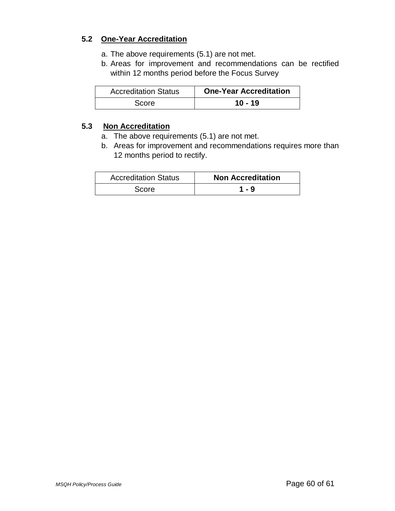#### **5.2 One-Year Accreditation**

- a. The above requirements (5.1) are not met.
- b. Areas for improvement and recommendations can be rectified within 12 months period before the Focus Survey

| <b>Accreditation Status</b> | <b>One-Year Accreditation</b> |
|-----------------------------|-------------------------------|
| Score                       | $10 - 19$                     |

#### **5.3 Non Accreditation**

- a. The above requirements (5.1) are not met.
- b. Areas for improvement and recommendations requires more than 12 months period to rectify.

| <b>Accreditation Status</b> | <b>Non Accreditation</b> |
|-----------------------------|--------------------------|
| <b>Score</b>                | 1 - 9                    |